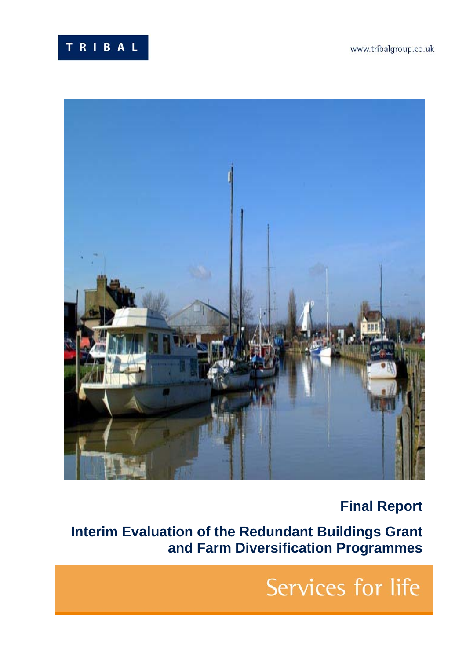



# **Final Report**

**Interim Evaluation of the Redundant Buildings Grant and Farm Diversification Programmes**

# Services for life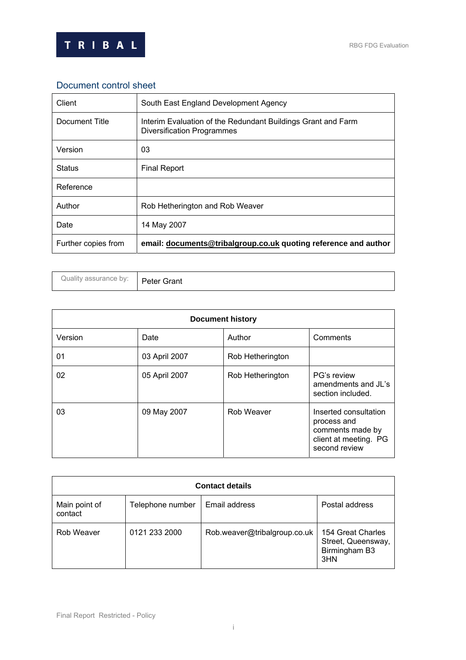

## Document control sheet

| Client              | South East England Development Agency                                                      |
|---------------------|--------------------------------------------------------------------------------------------|
| Document Title      | Interim Evaluation of the Redundant Buildings Grant and Farm<br>Diversification Programmes |
| Version             | 03                                                                                         |
| <b>Status</b>       | <b>Final Report</b>                                                                        |
| Reference           |                                                                                            |
| Author              | Rob Hetherington and Rob Weaver                                                            |
| Date                | 14 May 2007                                                                                |
| Further copies from | email: documents@tribalgroup.co.uk quoting reference and author                            |

| Quality assurance by: | <b>Peter Grant</b> |
|-----------------------|--------------------|
|-----------------------|--------------------|

| <b>Document history</b> |               |                  |                                                                                                    |
|-------------------------|---------------|------------------|----------------------------------------------------------------------------------------------------|
| Version                 | Date          | Author           | Comments                                                                                           |
| 01                      | 03 April 2007 | Rob Hetherington |                                                                                                    |
| 02                      | 05 April 2007 | Rob Hetherington | PG's review<br>amendments and JL's<br>section included.                                            |
| 03                      | 09 May 2007   | Rob Weaver       | Inserted consultation<br>process and<br>comments made by<br>client at meeting. PG<br>second review |

| <b>Contact details</b>   |                  |                              |                                                                 |
|--------------------------|------------------|------------------------------|-----------------------------------------------------------------|
| Main point of<br>contact | Telephone number | Email address                | Postal address                                                  |
| Rob Weaver               | 0121 233 2000    | Rob.weaver@tribalgroup.co.uk | 154 Great Charles<br>Street, Queensway,<br>Birmingham B3<br>3HN |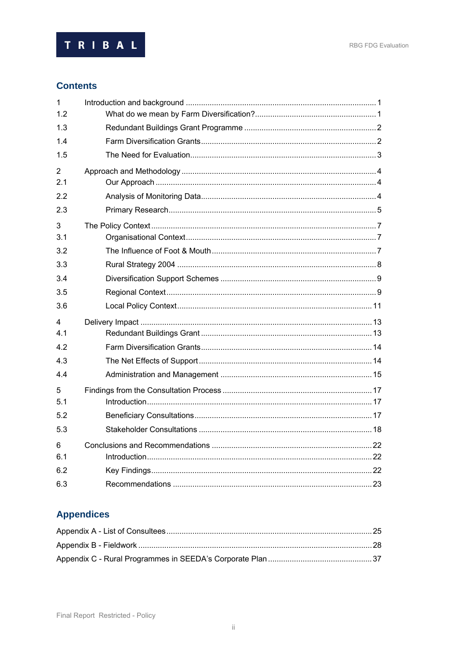

## **Contents**

| $\mathbf{1}$          |  |
|-----------------------|--|
| 1.2                   |  |
| 1.3                   |  |
| 1.4                   |  |
| 1.5                   |  |
| $\overline{2}$<br>2.1 |  |
| 2.2                   |  |
| 2.3                   |  |
| 3<br>3.1              |  |
| 3.2                   |  |
| 3.3                   |  |
| 3.4                   |  |
| 3.5                   |  |
| 3.6                   |  |
| 4                     |  |
| 4.1                   |  |
| 4.2                   |  |
| 4.3                   |  |
| 4.4                   |  |
| 5<br>5.1              |  |
| 5.2                   |  |
| 5.3                   |  |
| 6<br>6.1              |  |
| 6.2                   |  |
| 6.3                   |  |

# **Appendices**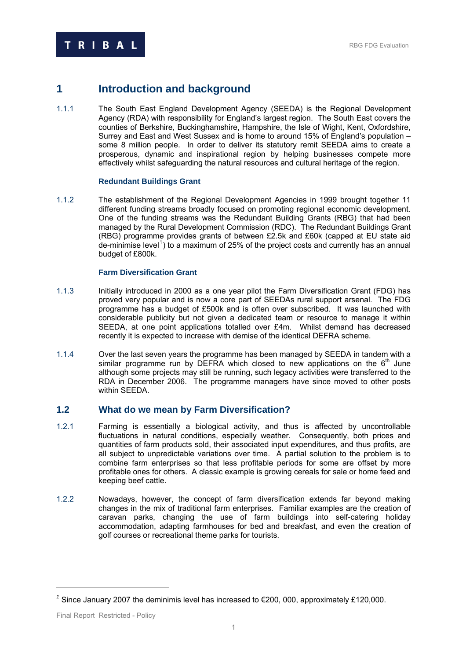## <span id="page-3-0"></span>**1 Introduction and background**

1.1.1 The South East England Development Agency (SEEDA) is the Regional Development Agency (RDA) with responsibility for England's largest region. The South East covers the counties of Berkshire, Buckinghamshire, Hampshire, the Isle of Wight, Kent, Oxfordshire, Surrey and East and West Sussex and is home to around 15% of England's population – some 8 million people. In order to deliver its statutory remit SEEDA aims to create a prosperous, dynamic and inspirational region by helping businesses compete more effectively whilst safeguarding the natural resources and cultural heritage of the region.

## **Redundant Buildings Grant**

1.1.2 The establishment of the Regional Development Agencies in 1999 brought together 11 different funding streams broadly focused on promoting regional economic development. One of the funding streams was the Redundant Building Grants (RBG) that had been managed by the Rural Development Commission (RDC). The Redundant Buildings Grant (RBG) programme provides grants of between £2.5k and £60k (capped at EU state aid  $de$ -minimise level<sup>[1](#page-3-1)</sup>) to a maximum of 25% of the project costs and currently has an annual budget of £800k.

## **Farm Diversification Grant**

- 1.1.3 Initially introduced in 2000 as a one year pilot the Farm Diversification Grant (FDG) has proved very popular and is now a core part of SEEDAs rural support arsenal. The FDG programme has a budget of £500k and is often over subscribed. It was launched with considerable publicity but not given a dedicated team or resource to manage it within SEEDA, at one point applications totalled over £4m. Whilst demand has decreased recently it is expected to increase with demise of the identical DEFRA scheme.
- 1.1.4 Over the last seven years the programme has been managed by SEEDA in tandem with a similar programme run by DEFRA which closed to new applications on the  $6<sup>th</sup>$  June although some projects may still be running, such legacy activities were transferred to the RDA in December 2006. The programme managers have since moved to other posts within SEEDA.

## **1.2 What do we mean by Farm Diversification?**

- 1.2.1 Farming is essentially a biological activity, and thus is affected by uncontrollable fluctuations in natural conditions, especially weather. Consequently, both prices and quantities of farm products sold, their associated input expenditures, and thus profits, are all subject to unpredictable variations over time. A partial solution to the problem is to combine farm enterprises so that less profitable periods for some are offset by more profitable ones for others. A classic example is growing cereals for sale or home feed and keeping beef cattle.
- 1.2.2 Nowadays, however, the concept of farm diversification extends far beyond making changes in the mix of traditional farm enterprises. Familiar examples are the creation of caravan parks, changing the use of farm buildings into self-catering holiday accommodation, adapting farmhouses for bed and breakfast, and even the creation of golf courses or recreational theme parks for tourists.

<span id="page-3-1"></span>*<sup>1</sup>* Since January 2007 the deminimis level has increased to €200, 000, approximately £120,000.

Final Report Restricted - Policy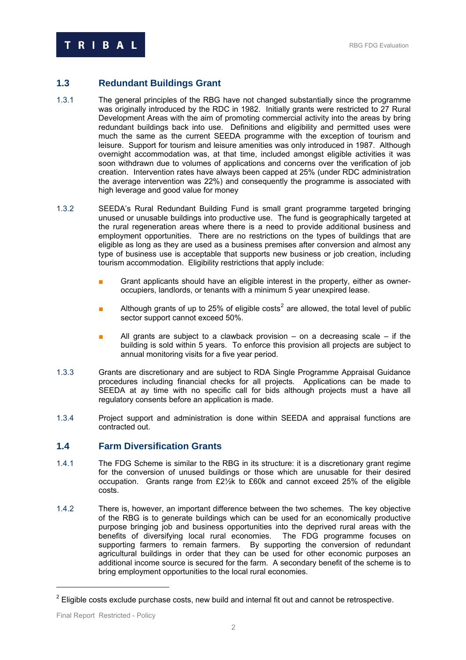## <span id="page-4-0"></span>**1.3 Redundant Buildings Grant**

- 1.3.1 The general principles of the RBG have not changed substantially since the programme was originally introduced by the RDC in 1982. Initially grants were restricted to 27 Rural Development Areas with the aim of promoting commercial activity into the areas by bring redundant buildings back into use. Definitions and eligibility and permitted uses were much the same as the current SEEDA programme with the exception of tourism and leisure. Support for tourism and leisure amenities was only introduced in 1987. Although overnight accommodation was, at that time, included amongst eligible activities it was soon withdrawn due to volumes of applications and concerns over the verification of job creation. Intervention rates have always been capped at 25% (under RDC administration the average intervention was 22%) and consequently the programme is associated with high leverage and good value for money
- 1.3.2 SEEDA's Rural Redundant Building Fund is small grant programme targeted bringing unused or unusable buildings into productive use. The fund is geographically targeted at the rural regeneration areas where there is a need to provide additional business and employment opportunities. There are no restrictions on the types of buildings that are eligible as long as they are used as a business premises after conversion and almost any type of business use is acceptable that supports new business or job creation, including tourism accommodation. Eligibility restrictions that apply include:
	- Grant applicants should have an eligible interest in the property, either as owneroccupiers, landlords, or tenants with a minimum 5 year unexpired lease.
	- **■** Although grants of up to [2](#page-4-1)5% of eligible costs<sup>2</sup> are allowed, the total level of public sector support cannot exceed 50%.
	- All grants are subject to a clawback provision  $-$  on a decreasing scale  $-$  if the building is sold within 5 years. To enforce this provision all projects are subject to annual monitoring visits for a five year period.
- 1.3.3 Grants are discretionary and are subject to RDA Single Programme Appraisal Guidance procedures including financial checks for all projects. Applications can be made to SEEDA at ay time with no specific call for bids although projects must a have all regulatory consents before an application is made.
- 1.3.4 Project support and administration is done within SEEDA and appraisal functions are contracted out.

## **1.4 Farm Diversification Grants**

- 1.4.1 The FDG Scheme is similar to the RBG in its structure: it is a discretionary grant regime for the conversion of unused buildings or those which are unusable for their desired occupation. Grants range from £2½k to £60k and cannot exceed 25% of the eligible costs.
- 1.4.2 There is, however, an important difference between the two schemes. The key objective of the RBG is to generate buildings which can be used for an economically productive purpose bringing job and business opportunities into the deprived rural areas with the benefits of diversifying local rural economies. The FDG programme focuses on supporting farmers to remain farmers. By supporting the conversion of redundant agricultural buildings in order that they can be used for other economic purposes an additional income source is secured for the farm. A secondary benefit of the scheme is to bring employment opportunities to the local rural economies.

<span id="page-4-1"></span> $2$  Eligible costs exclude purchase costs, new build and internal fit out and cannot be retrospective.

Final Report Restricted - Policy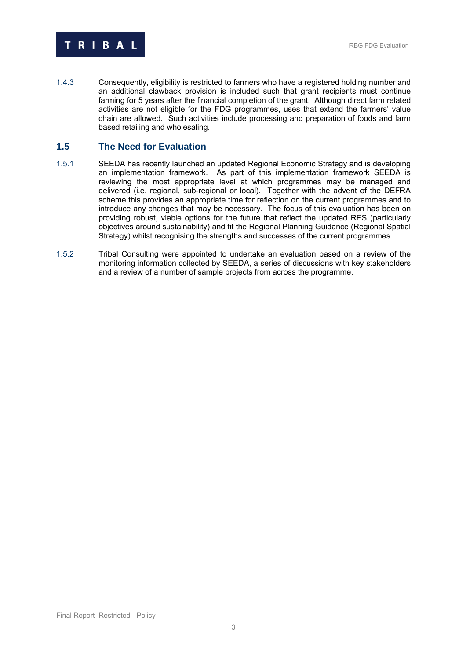<span id="page-5-0"></span>

1.4.3 Consequently, eligibility is restricted to farmers who have a registered holding number and an additional clawback provision is included such that grant recipients must continue farming for 5 years after the financial completion of the grant. Although direct farm related activities are not eligible for the FDG programmes, uses that extend the farmers' value chain are allowed. Such activities include processing and preparation of foods and farm based retailing and wholesaling.

## **1.5 The Need for Evaluation**

- 1.5.1 SEEDA has recently launched an updated Regional Economic Strategy and is developing an implementation framework. As part of this implementation framework SEEDA is reviewing the most appropriate level at which programmes may be managed and delivered (i.e. regional, sub-regional or local). Together with the advent of the DEFRA scheme this provides an appropriate time for reflection on the current programmes and to introduce any changes that may be necessary. The focus of this evaluation has been on providing robust, viable options for the future that reflect the updated RES (particularly objectives around sustainability) and fit the Regional Planning Guidance (Regional Spatial Strategy) whilst recognising the strengths and successes of the current programmes.
- 1.5.2 Tribal Consulting were appointed to undertake an evaluation based on a review of the monitoring information collected by SEEDA, a series of discussions with key stakeholders and a review of a number of sample projects from across the programme.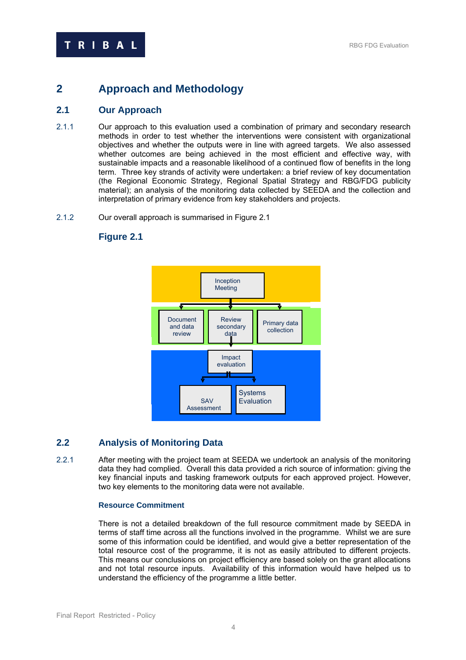# <span id="page-6-0"></span>**2 Approach and Methodology**

## **2.1 Our Approach**

- 2.1.1 Our approach to this evaluation used a combination of primary and secondary research methods in order to test whether the interventions were consistent with organizational objectives and whether the outputs were in line with agreed targets. We also assessed whether outcomes are being achieved in the most efficient and effective way, with sustainable impacts and a reasonable likelihood of a continued flow of benefits in the long term. Three key strands of activity were undertaken: a brief review of key documentation (the Regional Economic Strategy, Regional Spatial Strategy and RBG/FDG publicity material); an analysis of the monitoring data collected by SEEDA and the collection and interpretation of primary evidence from key stakeholders and projects.
- 2.1.2 Our overall approach is summarised in Figure 2.1

## **Figure 2.1**



## **2.2 Analysis of Monitoring Data**

2.2.1 After meeting with the project team at SEEDA we undertook an analysis of the monitoring data they had complied. Overall this data provided a rich source of information: giving the key financial inputs and tasking framework outputs for each approved project. However, two key elements to the monitoring data were not available.

## **Resource Commitment**

There is not a detailed breakdown of the full resource commitment made by SEEDA in terms of staff time across all the functions involved in the programme. Whilst we are sure some of this information could be identified, and would give a better representation of the total resource cost of the programme, it is not as easily attributed to different projects. This means our conclusions on project efficiency are based solely on the grant allocations and not total resource inputs. Availability of this information would have helped us to understand the efficiency of the programme a little better.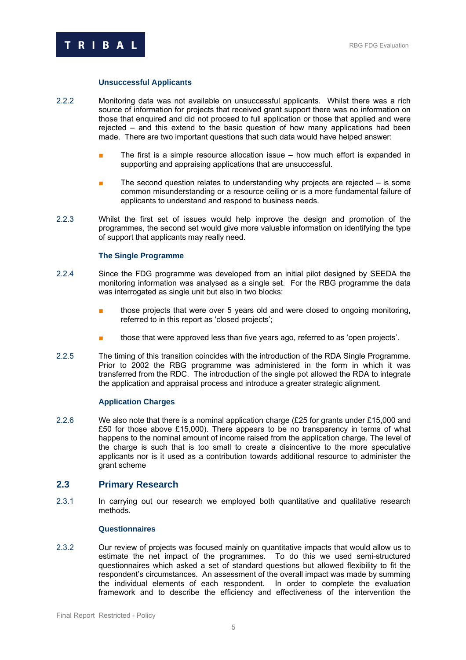<span id="page-7-0"></span>

### **Unsuccessful Applicants**

- 2.2.2 Monitoring data was not available on unsuccessful applicants. Whilst there was a rich source of information for projects that received grant support there was no information on those that enquired and did not proceed to full application or those that applied and were rejected – and this extend to the basic question of how many applications had been made. There are two important questions that such data would have helped answer:
	- The first is a simple resource allocation issue how much effort is expanded in supporting and appraising applications that are unsuccessful.
	- The second question relates to understanding why projects are rejected  $-$  is some common misunderstanding or a resource ceiling or is a more fundamental failure of applicants to understand and respond to business needs.
- 2.2.3 Whilst the first set of issues would help improve the design and promotion of the programmes, the second set would give more valuable information on identifying the type of support that applicants may really need.

## **The Single Programme**

- 2.2.4 Since the FDG programme was developed from an initial pilot designed by SEEDA the monitoring information was analysed as a single set. For the RBG programme the data was interrogated as single unit but also in two blocks:
	- those projects that were over 5 years old and were closed to ongoing monitoring, referred to in this report as 'closed projects';
	- those that were approved less than five years ago, referred to as 'open projects'.
- 2.2.5 The timing of this transition coincides with the introduction of the RDA Single Programme. Prior to 2002 the RBG programme was administered in the form in which it was transferred from the RDC. The introduction of the single pot allowed the RDA to integrate the application and appraisal process and introduce a greater strategic alignment.

#### **Application Charges**

2.2.6 We also note that there is a nominal application charge (£25 for grants under £15,000 and £50 for those above £15,000). There appears to be no transparency in terms of what happens to the nominal amount of income raised from the application charge. The level of the charge is such that is too small to create a disincentive to the more speculative applicants nor is it used as a contribution towards additional resource to administer the grant scheme

## **2.3 Primary Research**

2.3.1 In carrying out our research we employed both quantitative and qualitative research methods.

## **Questionnaires**

2.3.2 Our review of projects was focused mainly on quantitative impacts that would allow us to estimate the net impact of the programmes. To do this we used semi-structured questionnaires which asked a set of standard questions but allowed flexibility to fit the respondent's circumstances. An assessment of the overall impact was made by summing the individual elements of each respondent. In order to complete the evaluation framework and to describe the efficiency and effectiveness of the intervention the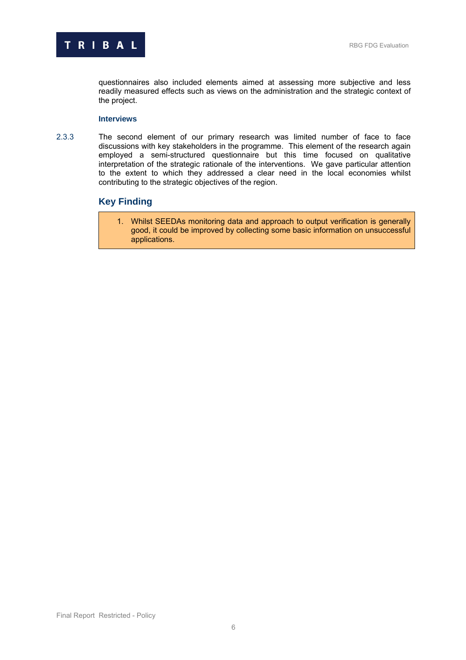

questionnaires also included elements aimed at assessing more subjective and less readily measured effects such as views on the administration and the strategic context of the project.

## **Interviews**

2.3.3 The second element of our primary research was limited number of face to face discussions with key stakeholders in the programme. This element of the research again employed a semi-structured questionnaire but this time focused on qualitative interpretation of the strategic rationale of the interventions. We gave particular attention to the extent to which they addressed a clear need in the local economies whilst contributing to the strategic objectives of the region.

## **Key Finding**

1. Whilst SEEDAs monitoring data and approach to output verification is generally good, it could be improved by collecting some basic information on unsuccessful applications.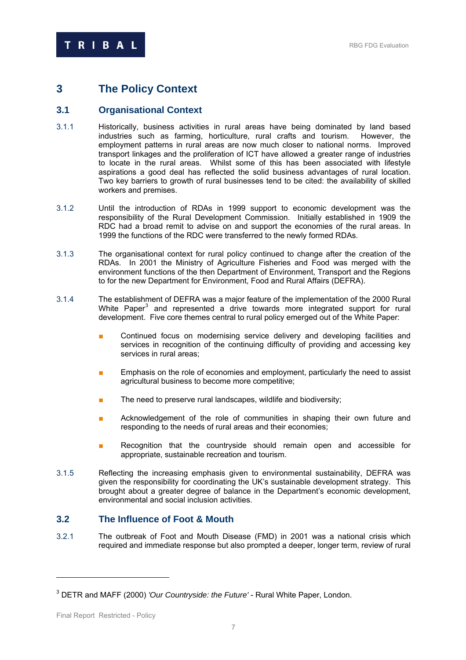## <span id="page-9-0"></span>**3 The Policy Context**

## **3.1 Organisational Context**

- 3.1.1 Historically, business activities in rural areas have being dominated by land based industries such as farming, horticulture, rural crafts and tourism. However, the employment patterns in rural areas are now much closer to national norms. Improved transport linkages and the proliferation of ICT have allowed a greater range of industries to locate in the rural areas. Whilst some of this has been associated with lifestyle aspirations a good deal has reflected the solid business advantages of rural location. Two key barriers to growth of rural businesses tend to be cited: the availability of skilled workers and premises.
- 3.1.2 Until the introduction of RDAs in 1999 support to economic development was the responsibility of the Rural Development Commission. Initially established in 1909 the RDC had a broad remit to advise on and support the economies of the rural areas. In 1999 the functions of the RDC were transferred to the newly formed RDAs.
- 3.1.3 The organisational context for rural policy continued to change after the creation of the RDAs. In 2001 the Ministry of Agriculture Fisheries and Food was merged with the environment functions of the then Department of Environment, Transport and the Regions to for the new Department for Environment, Food and Rural Affairs (DEFRA).
- 3.1.4 The establishment of DEFRA was a major feature of the implementation of the 2000 Rural White Paper<sup>[3](#page-9-1)</sup> and represented a drive towards more integrated support for rural development. Five core themes central to rural policy emerged out of the White Paper:
	- Continued focus on modernising service delivery and developing facilities and services in recognition of the continuing difficulty of providing and accessing key services in rural areas;
	- **Emphasis on the role of economies and employment, particularly the need to assist** agricultural business to become more competitive;
	- The need to preserve rural landscapes, wildlife and biodiversity;
	- Acknowledgement of the role of communities in shaping their own future and responding to the needs of rural areas and their economies;
	- Recognition that the countryside should remain open and accessible for appropriate, sustainable recreation and tourism.
- 3.1.5 Reflecting the increasing emphasis given to environmental sustainability, DEFRA was given the responsibility for coordinating the UK's sustainable development strategy. This brought about a greater degree of balance in the Department's economic development, environmental and social inclusion activities.

## **3.2 The Influence of Foot & Mouth**

3.2.1 The outbreak of Foot and Mouth Disease (FMD) in 2001 was a national crisis which required and immediate response but also prompted a deeper, longer term, review of rural

<span id="page-9-1"></span><sup>3</sup> DETR and MAFF (2000) *'Our Countryside: the Future'* - Rural White Paper, London.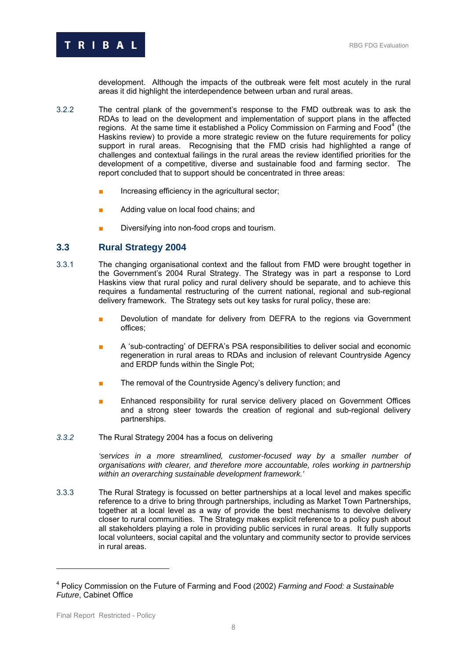<span id="page-10-0"></span>

development. Although the impacts of the outbreak were felt most acutely in the rural areas it did highlight the interdependence between urban and rural areas.

- 3.2.2 The central plank of the government's response to the FMD outbreak was to ask the RDAs to lead on the development and implementation of support plans in the affected regions. At the same time it established a Policy Commission on Farming and Food<sup>[4](#page-10-1)</sup> (the Haskins review) to provide a more strategic review on the future requirements for policy support in rural areas. Recognising that the FMD crisis had highlighted a range of challenges and contextual failings in the rural areas the review identified priorities for the development of a competitive, diverse and sustainable food and farming sector. The report concluded that to support should be concentrated in three areas:
	- Increasing efficiency in the agricultural sector;
	- Adding value on local food chains; and
	- Diversifying into non-food crops and tourism.

## **3.3 Rural Strategy 2004**

- 3.3.1 The changing organisational context and the fallout from FMD were brought together in the Government's 2004 Rural Strategy. The Strategy was in part a response to Lord Haskins view that rural policy and rural delivery should be separate, and to achieve this requires a fundamental restructuring of the current national, regional and sub-regional delivery framework. The Strategy sets out key tasks for rural policy, these are:
	- Devolution of mandate for delivery from DEFRA to the regions via Government offices;
	- A 'sub-contracting' of DEFRA's PSA responsibilities to deliver social and economic regeneration in rural areas to RDAs and inclusion of relevant Countryside Agency and ERDP funds within the Single Pot;
	- The removal of the Countryside Agency's delivery function; and
	- Enhanced responsibility for rural service delivery placed on Government Offices and a strong steer towards the creation of regional and sub-regional delivery partnerships.
- *3.3.2* The Rural Strategy 2004 has a focus on delivering

'services in a more streamlined, customer-focused way by a smaller number of *organisations with clearer, and therefore more accountable, roles working in partnership within an overarching sustainable development framework.'* 

3.3.3 The Rural Strategy is focussed on better partnerships at a local level and makes specific reference to a drive to bring through partnerships, including as Market Town Partnerships, together at a local level as a way of provide the best mechanisms to devolve delivery closer to rural communities. The Strategy makes explicit reference to a policy push about all stakeholders playing a role in providing public services in rural areas. It fully supports local volunteers, social capital and the voluntary and community sector to provide services in rural areas.

<span id="page-10-1"></span><sup>4</sup> Policy Commission on the Future of Farming and Food (2002) *Farming and Food: a Sustainable Future*, Cabinet Office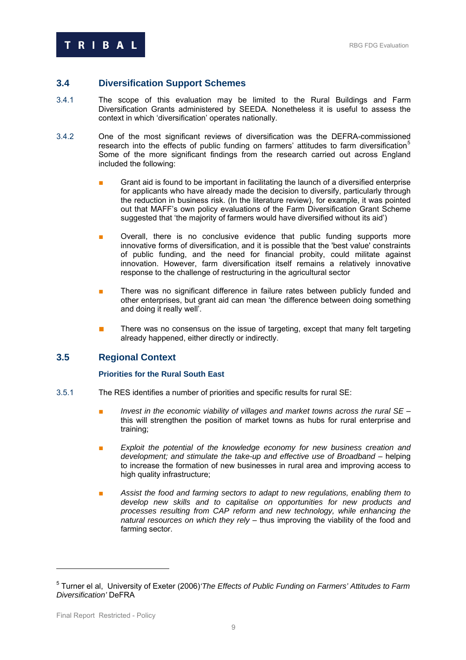## <span id="page-11-0"></span>**3.4 Diversification Support Schemes**

- 3.4.1 The scope of this evaluation may be limited to the Rural Buildings and Farm Diversification Grants administered by SEEDA. Nonetheless it is useful to assess the context in which 'diversification' operates nationally.
- 3.4.2 One of the most significant reviews of diversification was the DEFRA-commissioned research into the effects of public funding on farmers' attitudes to farm diversification<sup>[5](#page-11-1)</sup> Some of the more significant findings from the research carried out across England included the following:
	- Grant aid is found to be important in facilitating the launch of a diversified enterprise for applicants who have already made the decision to diversify, particularly through the reduction in business risk. (In the literature review), for example, it was pointed out that MAFF's own policy evaluations of the Farm Diversification Grant Scheme suggested that 'the majority of farmers would have diversified without its aid')
	- Overall, there is no conclusive evidence that public funding supports more innovative forms of diversification, and it is possible that the 'best value' constraints of public funding, and the need for financial probity, could militate against innovation. However, farm diversification itself remains a relatively innovative response to the challenge of restructuring in the agricultural sector
	- There was no significant difference in failure rates between publicly funded and other enterprises, but grant aid can mean 'the difference between doing something and doing it really well'.
	- There was no consensus on the issue of targeting, except that many felt targeting already happened, either directly or indirectly.

## **3.5 Regional Context**

## **Priorities for the Rural South East**

- 3.5.1 The RES identifies a number of priorities and specific results for rural SE:
	- *Invest in the economic viability of villages and market towns across the rural SE* this will strengthen the position of market towns as hubs for rural enterprise and training;
	- **Exploit the potential of the knowledge economy for new business creation and** *development; and stimulate the take-up and effective use of Broadband* – helping to increase the formation of new businesses in rural area and improving access to high quality infrastructure;
	- Assist the food and farming sectors to adapt to new regulations, enabling them to *develop new skills and to capitalise on opportunities for new products and processes resulting from CAP reform and new technology, while enhancing the natural resources on which they rely* – thus improving the viability of the food and farming sector.

<span id="page-11-1"></span><sup>5</sup> Turner el al, University of Exeter (2006)*'The Effects of Public Funding on Farmers' Attitudes to Farm Diversification'* DeFRA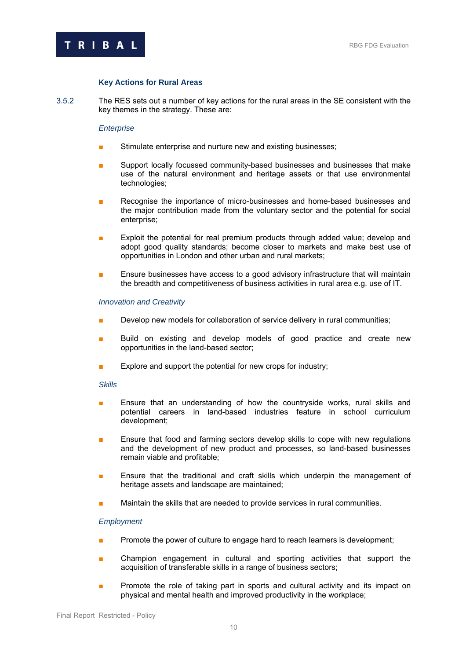

## **Key Actions for Rural Areas**

3.5.2 The RES sets out a number of key actions for the rural areas in the SE consistent with the key themes in the strategy. These are:

#### *Enterprise*

- Stimulate enterprise and nurture new and existing businesses;
- Support locally focussed community-based businesses and businesses that make use of the natural environment and heritage assets or that use environmental technologies;
- Recognise the importance of micro-businesses and home-based businesses and the major contribution made from the voluntary sector and the potential for social enterprise;
- Exploit the potential for real premium products through added value; develop and adopt good quality standards; become closer to markets and make best use of opportunities in London and other urban and rural markets;
- Ensure businesses have access to a good advisory infrastructure that will maintain the breadth and competitiveness of business activities in rural area e.g. use of IT.

#### *Innovation and Creativity*

- Develop new models for collaboration of service delivery in rural communities;
- Build on existing and develop models of good practice and create new opportunities in the land-based sector;
- Explore and support the potential for new crops for industry;

#### *Skills*

- Ensure that an understanding of how the countryside works, rural skills and potential careers in land-based industries feature in school curriculum development;
- Ensure that food and farming sectors develop skills to cope with new regulations and the development of new product and processes, so land-based businesses remain viable and profitable;
- Ensure that the traditional and craft skills which underpin the management of heritage assets and landscape are maintained;
- Maintain the skills that are needed to provide services in rural communities.

#### *Employment*

- Promote the power of culture to engage hard to reach learners is development;
- Champion engagement in cultural and sporting activities that support the acquisition of transferable skills in a range of business sectors;
- **■** Promote the role of taking part in sports and cultural activity and its impact on physical and mental health and improved productivity in the workplace;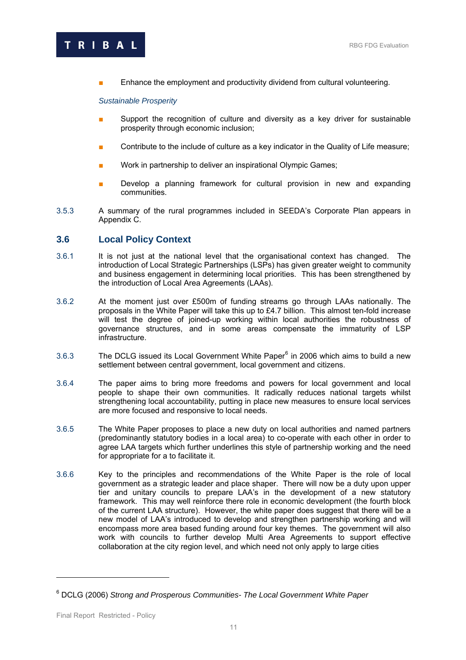<span id="page-13-0"></span>

Enhance the employment and productivity dividend from cultural volunteering.

*Sustainable Prosperity* 

- Support the recognition of culture and diversity as a key driver for sustainable prosperity through economic inclusion;
- Contribute to the include of culture as a key indicator in the Quality of Life measure;
- Work in partnership to deliver an inspirational Olympic Games;
- **■** Develop a planning framework for cultural provision in new and expanding communities.
- 3.5.3 A summary of the rural programmes included in SEEDA's Corporate Plan appears in Appendix C.

## **3.6 Local Policy Context**

- 3.6.1 It is not just at the national level that the organisational context has changed. The introduction of Local Strategic Partnerships (LSPs) has given greater weight to community and business engagement in determining local priorities. This has been strengthened by the introduction of Local Area Agreements (LAAs).
- 3.6.2 At the moment just over £500m of funding streams go through LAAs nationally. The proposals in the White Paper will take this up to £4.7 billion. This almost ten-fold increase will test the degree of joined-up working within local authorities the robustness of governance structures, and in some areas compensate the immaturity of LSP infrastructure.
- 3.[6](#page-13-1).3 The DCLG issued its Local Government White Paper<sup>6</sup> in 2006 which aims to build a new settlement between central government, local government and citizens.
- 3.6.4 The paper aims to bring more freedoms and powers for local government and local people to shape their own communities. It radically reduces national targets whilst strengthening local accountability, putting in place new measures to ensure local services are more focused and responsive to local needs.
- 3.6.5 The White Paper proposes to place a new duty on local authorities and named partners (predominantly statutory bodies in a local area) to co-operate with each other in order to agree LAA targets which further underlines this style of partnership working and the need for appropriate for a to facilitate it.
- 3.6.6 Key to the principles and recommendations of the White Paper is the role of local government as a strategic leader and place shaper. There will now be a duty upon upper tier and unitary councils to prepare LAA's in the development of a new statutory framework. This may well reinforce there role in economic development (the fourth block of the current LAA structure). However, the white paper does suggest that there will be a new model of LAA's introduced to develop and strengthen partnership working and will encompass more area based funding around four key themes. The government will also work with councils to further develop Multi Area Agreements to support effective collaboration at the city region level, and which need not only apply to large cities

<span id="page-13-1"></span><sup>6</sup> DCLG (2006) *Strong and Prosperous Communities- The Local Government White Paper*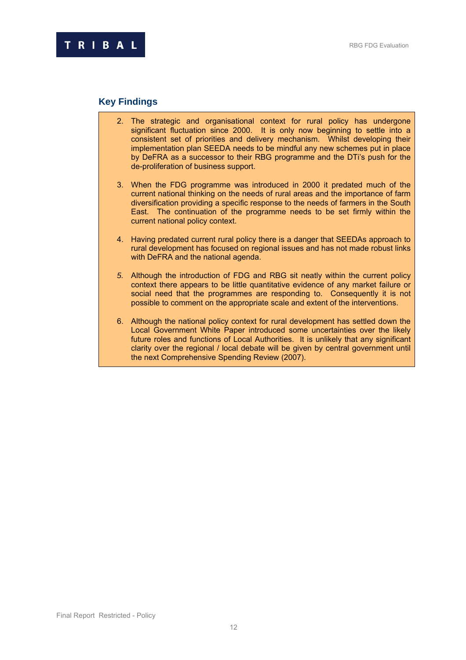## **Key Findings**

- 2. The strategic and organisational context for rural policy has undergone significant fluctuation since 2000. It is only now beginning to settle into a consistent set of priorities and delivery mechanism. Whilst developing their implementation plan SEEDA needs to be mindful any new schemes put in place by DeFRA as a successor to their RBG programme and the DTi's push for the de-proliferation of business support.
- 3. When the FDG programme was introduced in 2000 it predated much of the current national thinking on the needs of rural areas and the importance of farm diversification providing a specific response to the needs of farmers in the South East. The continuation of the programme needs to be set firmly within the current national policy context.
- 4. Having predated current rural policy there is a danger that SEEDAs approach to rural development has focused on regional issues and has not made robust links with DeFRA and the national agenda.
- *5.* Although the introduction of FDG and RBG sit neatly within the current policy context there appears to be little quantitative evidence of any market failure or social need that the programmes are responding to. Consequently it is not possible to comment on the appropriate scale and extent of the interventions.
- 6. Although the national policy context for rural development has settled down the Local Government White Paper introduced some uncertainties over the likely future roles and functions of Local Authorities. It is unlikely that any significant clarity over the regional / local debate will be given by central government until the next Comprehensive Spending Review (2007).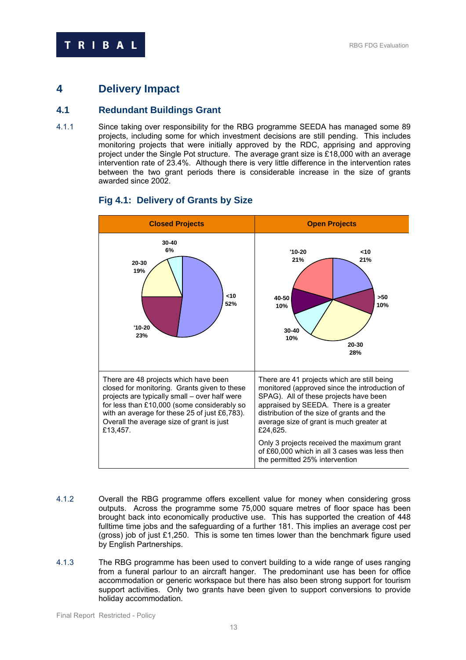# <span id="page-15-0"></span>**4 Delivery Impact**

## **4.1 Redundant Buildings Grant**

4.1.1 Since taking over responsibility for the RBG programme SEEDA has managed some 89 projects, including some for which investment decisions are still pending. This includes monitoring projects that were initially approved by the RDC, apprising and approving project under the Single Pot structure. The average grant size is £18,000 with an average intervention rate of 23.4%. Although there is very little difference in the intervention rates between the two grant periods there is considerable increase in the size of grants awarded since 2002.



## **Fig 4.1: Delivery of Grants by Size**

- 4.1.2 Overall the RBG programme offers excellent value for money when considering gross outputs. Across the programme some 75,000 square metres of floor space has been brought back into economically productive use. This has supported the creation of 448 fulltime time jobs and the safeguarding of a further 181. This implies an average cost per (gross) job of just £1,250. This is some ten times lower than the benchmark figure used by English Partnerships.
- 4.1.3 The RBG programme has been used to convert building to a wide range of uses ranging from a funeral parlour to an aircraft hanger. The predominant use has been for office accommodation or generic workspace but there has also been strong support for tourism support activities. Only two grants have been given to support conversions to provide holiday accommodation.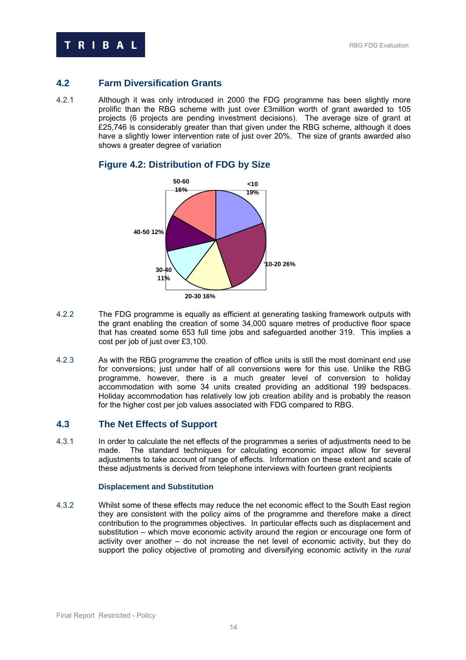<span id="page-16-0"></span>

## **4.2 Farm Diversification Grants**

4.2.1 Although it was only introduced in 2000 the FDG programme has been slightly more prolific than the RBG scheme with just over £3million worth of grant awarded to 105 projects (6 projects are pending investment decisions). The average size of grant at £25,746 is considerably greater than that given under the RBG scheme, although it does have a slightly lower intervention rate of just over 20%. The size of grants awarded also shows a greater degree of variation



## **Figure 4.2: Distribution of FDG by Size**

- 4.2.2 The FDG programme is equally as efficient at generating tasking framework outputs with the grant enabling the creation of some 34,000 square metres of productive floor space that has created some 653 full time jobs and safeguarded another 319. This implies a cost per job of just over £3,100.
- 4.2.3 As with the RBG programme the creation of office units is still the most dominant end use for conversions; just under half of all conversions were for this use. Unlike the RBG programme, however, there is a much greater level of conversion to holiday accommodation with some 34 units created providing an additional 199 bedspaces. Holiday accommodation has relatively low job creation ability and is probably the reason for the higher cost per job values associated with FDG compared to RBG.

## **4.3 The Net Effects of Support**

4.3.1 In order to calculate the net effects of the programmes a series of adjustments need to be made. The standard techniques for calculating economic impact allow for several adjustments to take account of range of effects. Information on these extent and scale of these adjustments is derived from telephone interviews with fourteen grant recipients

## **Displacement and Substitution**

4.3.2 Whilst some of these effects may reduce the net economic effect to the South East region they are consistent with the policy aims of the programme and therefore make a direct contribution to the programmes objectives. In particular effects such as displacement and substitution – which move economic activity around the region or encourage one form of activity over another – do not increase the net level of economic activity, but they do support the policy objective of promoting and diversifying economic activity in the *rural*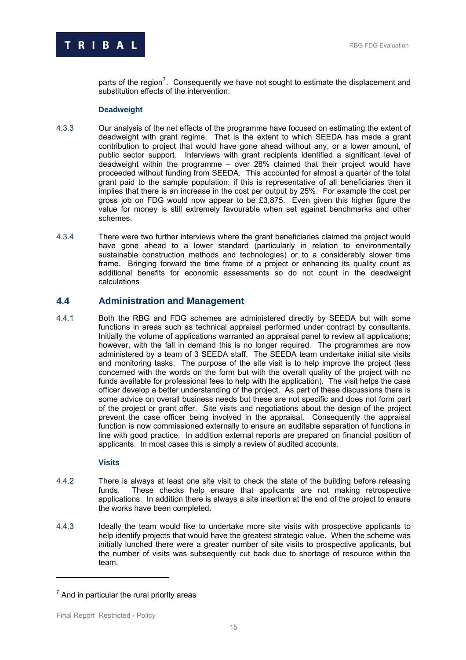<span id="page-17-0"></span>

parts of the region<sup>7</sup>. Consequently we have not sought to estimate the displacement and substitution effects of the intervention.

## **Deadweight**

- 4.3.3 Our analysis of the net effects of the programme have focused on estimating the extent of deadweight with grant regime. That is the extent to which SEEDA has made a grant contribution to project that would have gone ahead without any, or a lower amount, of public sector support. Interviews with grant recipients identified a significant level of deadweight within the programme – over 28% claimed that their project would have proceeded without funding from SEEDA. This accounted for almost a quarter of the total grant paid to the sample population: if this is representative of all beneficiaries then it implies that there is an increase in the cost per output by 25%. For example the cost per gross job on FDG would now appear to be £3,875. Even given this higher figure the value for money is still extremely favourable when set against benchmarks and other schemes.
- 4.3.4 There were two further interviews where the grant beneficiaries claimed the project would have gone ahead to a lower standard (particularly in relation to environmentally sustainable construction methods and technologies) or to a considerably slower time frame. Bringing forward the time frame of a project or enhancing its quality count as additional benefits for economic assessments so do not count in the deadweight calculations

## **4.4 Administration and Management**

4.4.1 Both the RBG and FDG schemes are administered directly by SEEDA but with some functions in areas such as technical appraisal performed under contract by consultants. Initially the volume of applications warranted an appraisal panel to review all applications; however, with the fall in demand this is no longer required. The programmes are now administered by a team of 3 SEEDA staff. The SEEDA team undertake initial site visits and monitoring tasks. The purpose of the site visit is to help improve the project (less concerned with the words on the form but with the overall quality of the project with no funds available for professional fees to help with the application). The visit helps the case officer develop a better understanding of the project. As part of these discussions there is some advice on overall business needs but these are not specific and does not form part of the project or grant offer. Site visits and negotiations about the design of the project prevent the case officer being involved in the appraisal. Consequently the appraisal function is now commissioned externally to ensure an auditable separation of functions in line with good practice. In addition external reports are prepared on financial position of applicants. In most cases this is simply a review of audited accounts.

## **Visits**

- 4.4.2 There is always at least one site visit to check the state of the building before releasing funds. These checks help ensure that applicants are not making retrospective applications. In addition there is always a site insertion at the end of the project to ensure the works have been completed.
- 4.4.3 Ideally the team would like to undertake more site visits with prospective applicants to help identify projects that would have the greatest strategic value. When the scheme was initially lunched there were a greater number of site visits to prospective applicants, but the number of visits was subsequently cut back due to shortage of resource within the team.

 $7$  And in particular the rural priority areas

Final Report Restricted - Policy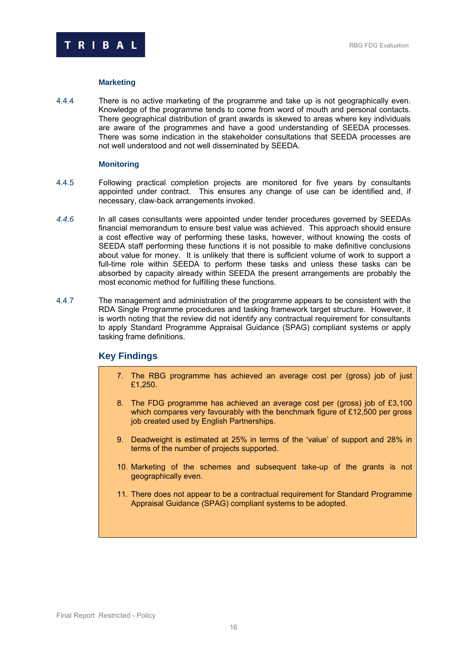

## **Marketing**

4.4.4 There is no active marketing of the programme and take up is not geographically even. Knowledge of the programme tends to come from word of mouth and personal contacts. There geographical distribution of grant awards is skewed to areas where key individuals are aware of the programmes and have a good understanding of SEEDA processes. There was some indication in the stakeholder consultations that SEEDA processes are not well understood and not well disseminated by SEEDA.

## **Monitoring**

- 4.4.5 Following practical completion projects are monitored for five years by consultants appointed under contract. This ensures any change of use can be identified and, if necessary, claw-back arrangements invoked.
- *4.4.6* In all cases consultants were appointed under tender procedures governed by SEEDAs financial memorandum to ensure best value was achieved. This approach should ensure a cost effective way of performing these tasks, however, without knowing the costs of SEEDA staff performing these functions it is not possible to make definitive conclusions about value for money. It is unlikely that there is sufficient volume of work to support a full-time role within SEEDA to perform these tasks and unless these tasks can be absorbed by capacity already within SEEDA the present arrangements are probably the most economic method for fulfilling these functions.
- 4.4.7 The management and administration of the programme appears to be consistent with the RDA Single Programme procedures and tasking framework target structure. However, it is worth noting that the review did not identify any contractual requirement for consultants to apply Standard Programme Appraisal Guidance (SPAG) compliant systems or apply tasking frame definitions.

## **Key Findings**

- 7. The RBG programme has achieved an average cost per (gross) job of just £1,250.
- 8. The FDG programme has achieved an average cost per (gross) job of £3,100 which compares very favourably with the benchmark figure of £12,500 per gross job created used by English Partnerships.
- 9. Deadweight is estimated at 25% in terms of the 'value' of support and 28% in terms of the number of projects supported.
- 10. Marketing of the schemes and subsequent take-up of the grants is not geographically even.
- 11. There does not appear to be a contractual requirement for Standard Programme Appraisal Guidance (SPAG) compliant systems to be adopted.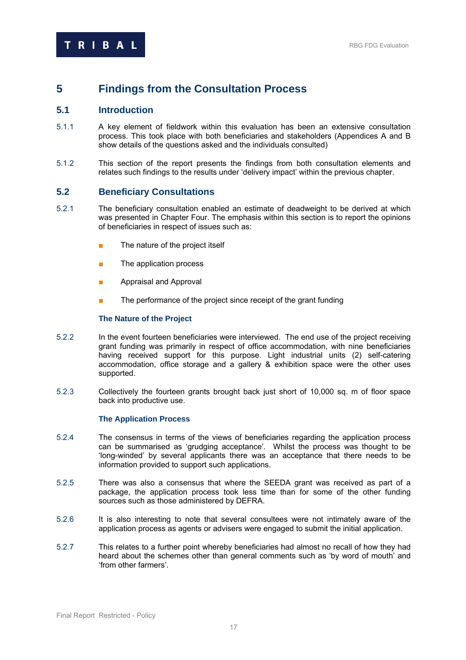# <span id="page-19-0"></span>**5 Findings from the Consultation Process**

## **5.1 Introduction**

- 5.1.1 A key element of fieldwork within this evaluation has been an extensive consultation process. This took place with both beneficiaries and stakeholders (Appendices A and B show details of the questions asked and the individuals consulted)
- 5.1.2 This section of the report presents the findings from both consultation elements and relates such findings to the results under 'delivery impact' within the previous chapter.

## **5.2 Beneficiary Consultations**

- 5.2.1 The beneficiary consultation enabled an estimate of deadweight to be derived at which was presented in Chapter Four. The emphasis within this section is to report the opinions of beneficiaries in respect of issues such as:
	- The nature of the project itself
	- The application process
	- Appraisal and Approval
	- The performance of the project since receipt of the grant funding

## **The Nature of the Project**

- 5.2.2 In the event fourteen beneficiaries were interviewed. The end use of the project receiving grant funding was primarily in respect of office accommodation, with nine beneficiaries having received support for this purpose. Light industrial units (2) self-catering accommodation, office storage and a gallery & exhibition space were the other uses supported.
- 5.2.3 Collectively the fourteen grants brought back just short of 10,000 sq. m of floor space back into productive use.

#### **The Application Process**

- 5.2.4 The consensus in terms of the views of beneficiaries regarding the application process can be summarised as 'grudging acceptance'. Whilst the process was thought to be 'long-winded' by several applicants there was an acceptance that there needs to be information provided to support such applications.
- 5.2.5 There was also a consensus that where the SEEDA grant was received as part of a package, the application process took less time than for some of the other funding sources such as those administered by DEFRA.
- 5.2.6 It is also interesting to note that several consultees were not intimately aware of the application process as agents or advisers were engaged to submit the initial application.
- 5.2.7 This relates to a further point whereby beneficiaries had almost no recall of how they had heard about the schemes other than general comments such as 'by word of mouth' and 'from other farmers'.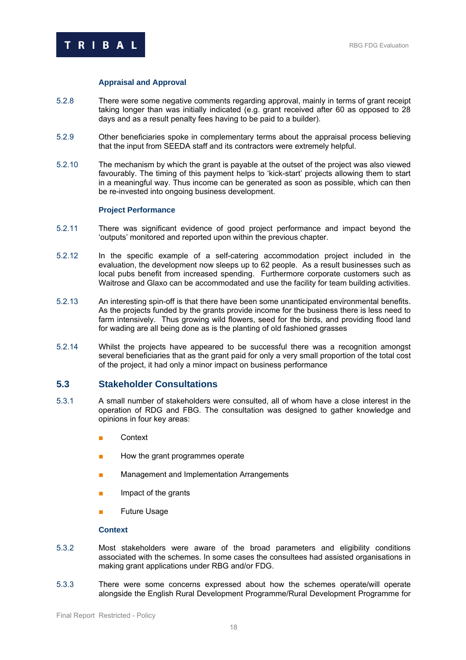<span id="page-20-0"></span>

## **Appraisal and Approval**

- 5.2.8 There were some negative comments regarding approval, mainly in terms of grant receipt taking longer than was initially indicated (e.g. grant received after 60 as opposed to 28 days and as a result penalty fees having to be paid to a builder).
- 5.2.9 Other beneficiaries spoke in complementary terms about the appraisal process believing that the input from SEEDA staff and its contractors were extremely helpful.
- 5.2.10 The mechanism by which the grant is payable at the outset of the project was also viewed favourably. The timing of this payment helps to 'kick-start' projects allowing them to start in a meaningful way. Thus income can be generated as soon as possible, which can then be re-invested into ongoing business development.

#### **Project Performance**

- 5.2.11 There was significant evidence of good project performance and impact beyond the 'outputs' monitored and reported upon within the previous chapter.
- 5.2.12 In the specific example of a self-catering accommodation project included in the evaluation, the development now sleeps up to 62 people. As a result businesses such as local pubs benefit from increased spending. Furthermore corporate customers such as Waitrose and Glaxo can be accommodated and use the facility for team building activities.
- 5.2.13 An interesting spin-off is that there have been some unanticipated environmental benefits. As the projects funded by the grants provide income for the business there is less need to farm intensively. Thus growing wild flowers, seed for the birds, and providing flood land for wading are all being done as is the planting of old fashioned grasses
- 5.2.14 Whilst the projects have appeared to be successful there was a recognition amongst several beneficiaries that as the grant paid for only a very small proportion of the total cost of the project, it had only a minor impact on business performance

## **5.3 Stakeholder Consultations**

- 5.3.1 A small number of stakeholders were consulted, all of whom have a close interest in the operation of RDG and FBG. The consultation was designed to gather knowledge and opinions in four key areas:
	- Context
	- How the grant programmes operate
	- Management and Implementation Arrangements
	- Impact of the grants
	- Future Usage

#### **Context**

- 5.3.2 Most stakeholders were aware of the broad parameters and eligibility conditions associated with the schemes. In some cases the consultees had assisted organisations in making grant applications under RBG and/or FDG.
- 5.3.3 There were some concerns expressed about how the schemes operate/will operate alongside the English Rural Development Programme/Rural Development Programme for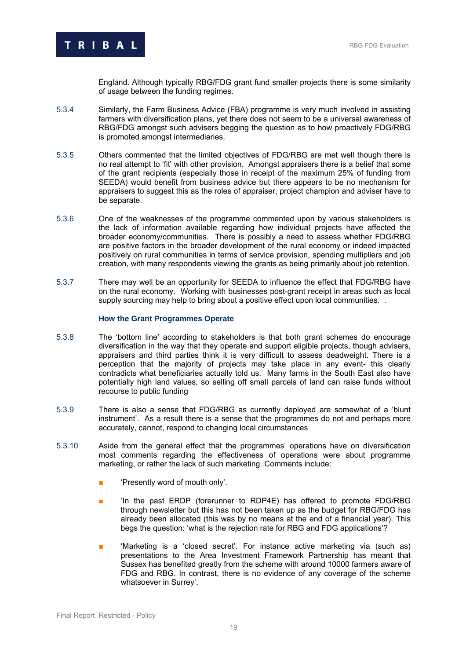

England. Although typically RBG/FDG grant fund smaller projects there is some similarity of usage between the funding regimes.

- 5.3.4 Similarly, the Farm Business Advice (FBA) programme is very much involved in assisting farmers with diversification plans, yet there does not seem to be a universal awareness of RBG/FDG amongst such advisers begging the question as to how proactively FDG/RBG is promoted amongst intermediaries.
- 5.3.5 Others commented that the limited objectives of FDG/RBG are met well though there is no real attempt to 'fit' with other provision. Amongst appraisers there is a belief that some of the grant recipients (especially those in receipt of the maximum 25% of funding from SEEDA) would benefit from business advice but there appears to be no mechanism for appraisers to suggest this as the roles of appraiser, project champion and adviser have to be separate.
- 5.3.6 One of the weaknesses of the programme commented upon by various stakeholders is the lack of information available regarding how individual projects have affected the broader economy/communities. There is possibly a need to assess whether FDG/RBG are positive factors in the broader development of the rural economy or indeed impacted positively on rural communities in terms of service provision, spending multipliers and job creation, with many respondents viewing the grants as being primarily about job retention.
- 5.3.7 There may well be an opportunity for SEEDA to influence the effect that FDG/RBG have on the rural economy. Working with businesses post-grant receipt in areas such as local supply sourcing may help to bring about a positive effect upon local communities.

#### **How the Grant Programmes Operate**

- 5.3.8 The 'bottom line' according to stakeholders is that both grant schemes do encourage diversification in the way that they operate and support eligible projects, though advisers, appraisers and third parties think it is very difficult to assess deadweight. There is a perception that the majority of projects may take place in any event- this clearly contradicts what beneficiaries actually told us. Many farms in the South East also have potentially high land values, so selling off small parcels of land can raise funds without recourse to public funding
- 5.3.9 There is also a sense that FDG/RBG as currently deployed are somewhat of a 'blunt instrument'. As a result there is a sense that the programmes do not and perhaps more accurately, cannot, respond to changing local circumstances
- 5.3.10 Aside from the general effect that the programmes' operations have on diversification most comments regarding the effectiveness of operations were about programme marketing, or rather the lack of such marketing. Comments include:
	- 'Presently word of mouth only'.
	- 'In the past ERDP (forerunner to RDP4E) has offered to promote FDG/RBG through newsletter but this has not been taken up as the budget for RBG/FDG has already been allocated (this was by no means at the end of a financial year). This begs the question: 'what is the rejection rate for RBG and FDG applications'?
	- 'Marketing is a 'closed secret'. For instance active marketing via (such as) presentations to the Area Investment Framework Partnership has meant that Sussex has benefited greatly from the scheme with around 10000 farmers aware of FDG and RBG. In contrast, there is no evidence of any coverage of the scheme whatsoever in Surrey'.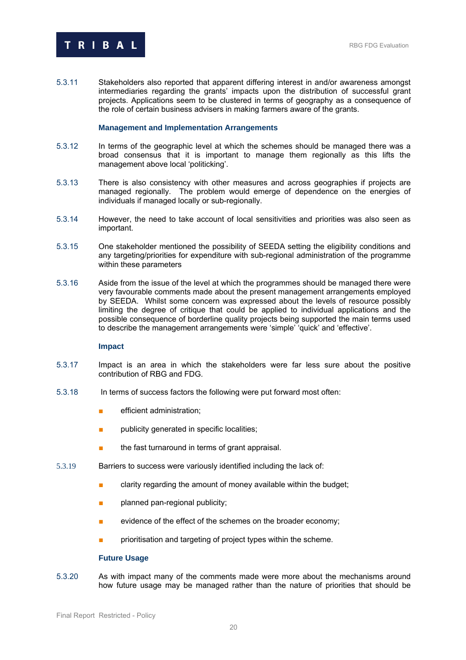

5.3.11 Stakeholders also reported that apparent differing interest in and/or awareness amongst intermediaries regarding the grants' impacts upon the distribution of successful grant projects. Applications seem to be clustered in terms of geography as a consequence of the role of certain business advisers in making farmers aware of the grants.

#### **Management and Implementation Arrangements**

- 5.3.12 In terms of the geographic level at which the schemes should be managed there was a broad consensus that it is important to manage them regionally as this lifts the management above local 'politicking'.
- 5.3.13 There is also consistency with other measures and across geographies if projects are managed regionally. The problem would emerge of dependence on the energies of individuals if managed locally or sub-regionally.
- 5.3.14 However, the need to take account of local sensitivities and priorities was also seen as important.
- 5.3.15 One stakeholder mentioned the possibility of SEEDA setting the eligibility conditions and any targeting/priorities for expenditure with sub-regional administration of the programme within these parameters
- 5.3.16 Aside from the issue of the level at which the programmes should be managed there were very favourable comments made about the present management arrangements employed by SEEDA. Whilst some concern was expressed about the levels of resource possibly limiting the degree of critique that could be applied to individual applications and the possible consequence of borderline quality projects being supported the main terms used to describe the management arrangements were 'simple' 'quick' and 'effective'.

#### **Impact**

- 5.3.17 Impact is an area in which the stakeholders were far less sure about the positive contribution of RBG and FDG.
- 5.3.18 In terms of success factors the following were put forward most often:
	- **■** efficient administration;
	- publicity generated in specific localities;
	- the fast turnaround in terms of grant appraisal.
- 5.3.19 Barriers to success were variously identified including the lack of:
	- clarity regarding the amount of money available within the budget;
	- planned pan-regional publicity;
	- evidence of the effect of the schemes on the broader economy;
	- prioritisation and targeting of project types within the scheme.

#### **Future Usage**

5.3.20 As with impact many of the comments made were more about the mechanisms around how future usage may be managed rather than the nature of priorities that should be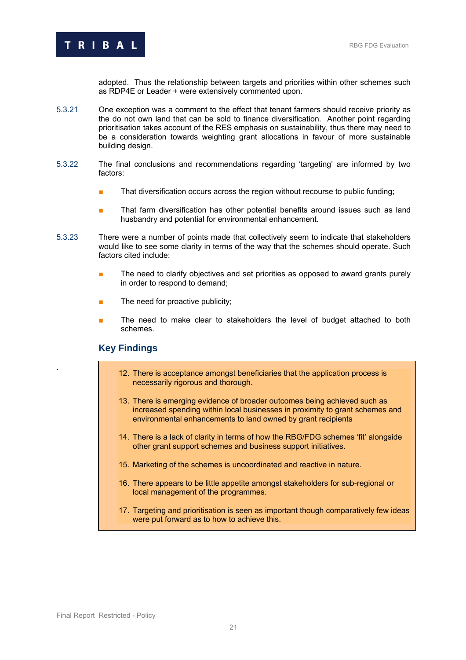

adopted. Thus the relationship between targets and priorities within other schemes such as RDP4E or Leader + were extensively commented upon.

- 5.3.21 One exception was a comment to the effect that tenant farmers should receive priority as the do not own land that can be sold to finance diversification. Another point regarding prioritisation takes account of the RES emphasis on sustainability, thus there may need to be a consideration towards weighting grant allocations in favour of more sustainable building design.
- 5.3.22 The final conclusions and recommendations regarding 'targeting' are informed by two factors:
	- That diversification occurs across the region without recourse to public funding;
	- That farm diversification has other potential benefits around issues such as land husbandry and potential for environmental enhancement.
- 5.3.23 There were a number of points made that collectively seem to indicate that stakeholders would like to see some clarity in terms of the way that the schemes should operate. Such factors cited include:
	- The need to clarify objectives and set priorities as opposed to award grants purely in order to respond to demand;
	- The need for proactive publicity;
	- The need to make clear to stakeholders the level of budget attached to both schemes.

## **Key Findings**

- . 12. There is acceptance amongst beneficiaries that the application process is necessarily rigorous and thorough.
- 13. There is emerging evidence of broader outcomes being achieved such as increased spending within local businesses in proximity to grant schemes and environmental enhancements to land owned by grant recipients
- 14. There is a lack of clarity in terms of how the RBG/FDG schemes 'fit' alongside other grant support schemes and business support initiatives.
- 15. Marketing of the schemes is uncoordinated and reactive in nature.
- 16. There appears to be little appetite amongst stakeholders for sub-regional or local management of the programmes.
- 17. Targeting and prioritisation is seen as important though comparatively few ideas were put forward as to how to achieve this.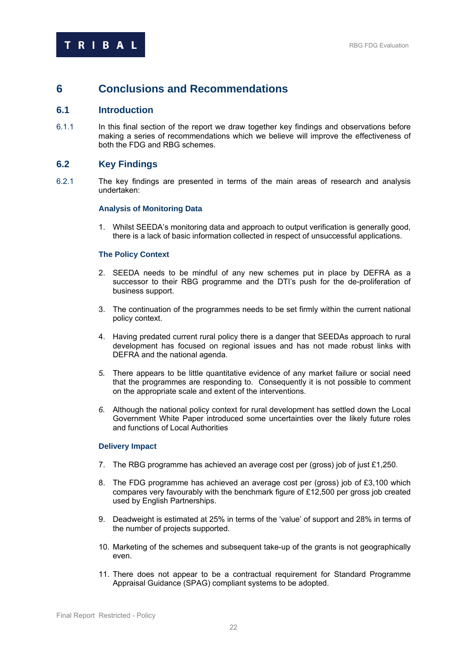## <span id="page-24-0"></span>**6 Conclusions and Recommendations**

## **6.1 Introduction**

6.1.1 In this final section of the report we draw together key findings and observations before making a series of recommendations which we believe will improve the effectiveness of both the FDG and RBG schemes.

## **6.2 Key Findings**

6.2.1 The key findings are presented in terms of the main areas of research and analysis undertaken:

## **Analysis of Monitoring Data**

1. Whilst SEEDA's monitoring data and approach to output verification is generally good, there is a lack of basic information collected in respect of unsuccessful applications.

## **The Policy Context**

- 2. SEEDA needs to be mindful of any new schemes put in place by DEFRA as a successor to their RBG programme and the DTI's push for the de-proliferation of business support.
- 3. The continuation of the programmes needs to be set firmly within the current national policy context.
- 4. Having predated current rural policy there is a danger that SEEDAs approach to rural development has focused on regional issues and has not made robust links with DEFRA and the national agenda.
- *5.* There appears to be little quantitative evidence of any market failure or social need that the programmes are responding to. Consequently it is not possible to comment on the appropriate scale and extent of the interventions.
- *6.* Although the national policy context for rural development has settled down the Local Government White Paper introduced some uncertainties over the likely future roles and functions of Local Authorities

#### **Delivery Impact**

- 7. The RBG programme has achieved an average cost per (gross) job of just £1,250.
- 8. The FDG programme has achieved an average cost per (gross) job of £3,100 which compares very favourably with the benchmark figure of £12,500 per gross job created used by English Partnerships.
- 9. Deadweight is estimated at 25% in terms of the 'value' of support and 28% in terms of the number of projects supported.
- 10. Marketing of the schemes and subsequent take-up of the grants is not geographically even.
- 11. There does not appear to be a contractual requirement for Standard Programme Appraisal Guidance (SPAG) compliant systems to be adopted.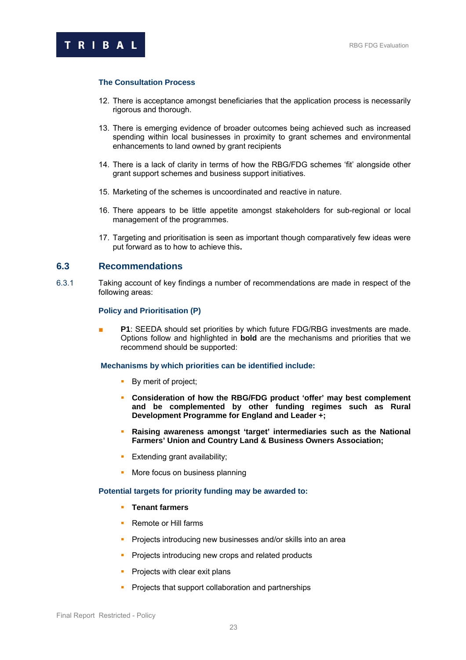## <span id="page-25-0"></span>**The Consultation Process**

- 12. There is acceptance amongst beneficiaries that the application process is necessarily rigorous and thorough.
- 13. There is emerging evidence of broader outcomes being achieved such as increased spending within local businesses in proximity to grant schemes and environmental enhancements to land owned by grant recipients
- 14. There is a lack of clarity in terms of how the RBG/FDG schemes 'fit' alongside other grant support schemes and business support initiatives.
- 15. Marketing of the schemes is uncoordinated and reactive in nature.
- 16. There appears to be little appetite amongst stakeholders for sub-regional or local management of the programmes.
- 17. Targeting and prioritisation is seen as important though comparatively few ideas were put forward as to how to achieve this**.**

## **6.3 Recommendations**

6.3.1 Taking account of key findings a number of recommendations are made in respect of the following areas:

#### **Policy and Prioritisation (P)**

**P1**: SEEDA should set priorities by which future FDG/RBG investments are made. Options follow and highlighted in **bold** are the mechanisms and priorities that we recommend should be supported:

## **Mechanisms by which priorities can be identified include:**

- By merit of project;
- **Consideration of how the RBG/FDG product 'offer' may best complement and be complemented by other funding regimes such as Rural Development Programme for England and Leader +;**
- **Raising awareness amongst 'target' intermediaries such as the National Farmers' Union and Country Land & Business Owners Association;**
- **Extending grant availability;**
- **More focus on business planning**

#### **Potential targets for priority funding may be awarded to:**

- **Tenant farmers**
- **Remote or Hill farms**
- **Projects introducing new businesses and/or skills into an area**
- **Projects introducing new crops and related products**
- $\blacksquare$  Projects with clear exit plans
- **Projects that support collaboration and partnerships**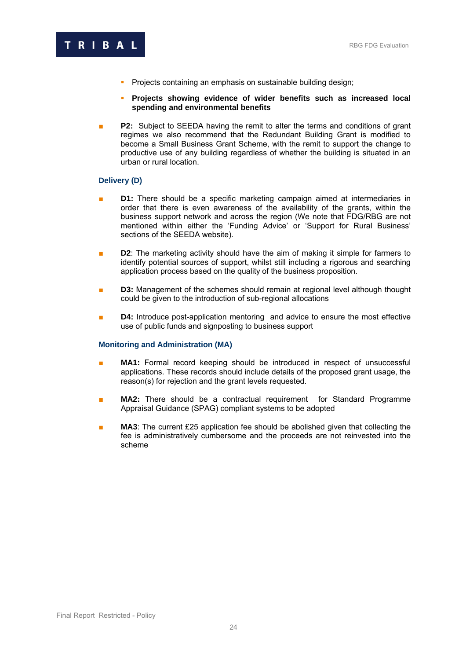

- **Projects containing an emphasis on sustainable building design;**
- **Projects showing evidence of wider benefits such as increased local spending and environmental benefits**
- **P2:** Subject to SEEDA having the remit to alter the terms and conditions of grant regimes we also recommend that the Redundant Building Grant is modified to become a Small Business Grant Scheme, with the remit to support the change to productive use of any building regardless of whether the building is situated in an urban or rural location.

## **Delivery (D)**

- **D1:** There should be a specific marketing campaign aimed at intermediaries in order that there is even awareness of the availability of the grants, within the business support network and across the region (We note that FDG/RBG are not mentioned within either the 'Funding Advice' or 'Support for Rural Business' sections of the SEEDA website).
- **D2**: The marketing activity should have the aim of making it simple for farmers to identify potential sources of support, whilst still including a rigorous and searching application process based on the quality of the business proposition.
- **D3:** Management of the schemes should remain at regional level although thought could be given to the introduction of sub-regional allocations
- **D4:** Introduce post-application mentoring and advice to ensure the most effective use of public funds and signposting to business support

#### **Monitoring and Administration (MA)**

- **MA1:** Formal record keeping should be introduced in respect of unsuccessful applications. These records should include details of the proposed grant usage, the reason(s) for rejection and the grant levels requested.
- **MA2:** There should be a contractual requirement for Standard Programme Appraisal Guidance (SPAG) compliant systems to be adopted
- **MA3**: The current £25 application fee should be abolished given that collecting the fee is administratively cumbersome and the proceeds are not reinvested into the scheme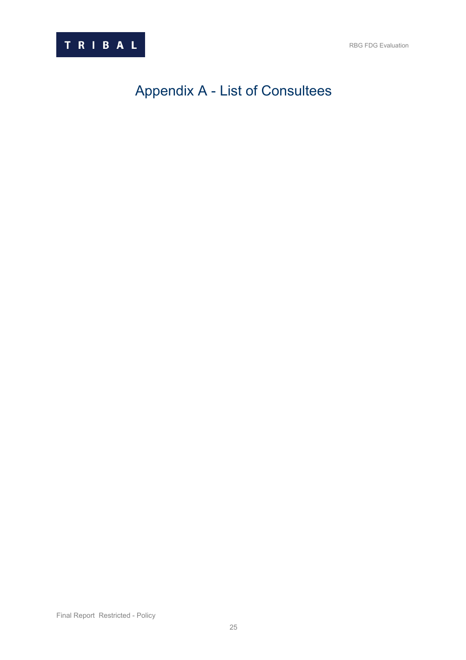<span id="page-27-0"></span>

# Appendix A - List of Consultees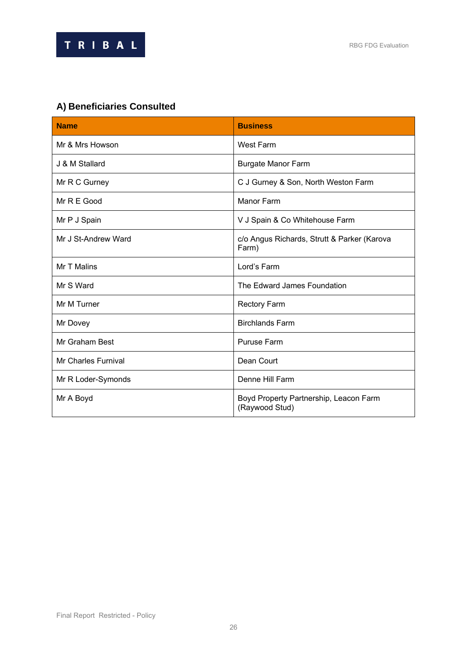



# **A) Beneficiaries Consulted**

| <b>Name</b>                | <b>Business</b>                                          |
|----------------------------|----------------------------------------------------------|
| Mr & Mrs Howson            | West Farm                                                |
| J & M Stallard             | <b>Burgate Manor Farm</b>                                |
| Mr R C Gurney              | C J Gurney & Son, North Weston Farm                      |
| Mr R E Good                | <b>Manor Farm</b>                                        |
| Mr P J Spain               | V J Spain & Co Whitehouse Farm                           |
| Mr J St-Andrew Ward        | c/o Angus Richards, Strutt & Parker (Karova<br>Farm)     |
| Mr T Malins                | Lord's Farm                                              |
| Mr S Ward                  | The Edward James Foundation                              |
| Mr M Turner                | <b>Rectory Farm</b>                                      |
| Mr Dovey                   | <b>Birchlands Farm</b>                                   |
| Mr Graham Best             | <b>Puruse Farm</b>                                       |
| <b>Mr Charles Furnival</b> | Dean Court                                               |
| Mr R Loder-Symonds         | Denne Hill Farm                                          |
| Mr A Boyd                  | Boyd Property Partnership, Leacon Farm<br>(Raywood Stud) |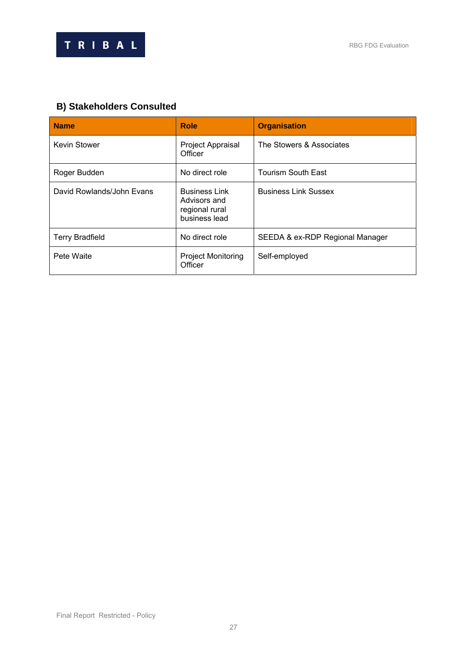

# **B) Stakeholders Consulted**

| <b>Name</b>               | <b>Role</b>                                                             | <b>Organisation</b>             |
|---------------------------|-------------------------------------------------------------------------|---------------------------------|
| <b>Kevin Stower</b>       | Project Appraisal<br>Officer                                            | The Stowers & Associates        |
| Roger Budden              | No direct role                                                          | <b>Tourism South East</b>       |
| David Rowlands/John Evans | <b>Business Link</b><br>Advisors and<br>regional rural<br>business lead | <b>Business Link Sussex</b>     |
| <b>Terry Bradfield</b>    | No direct role                                                          | SEEDA & ex-RDP Regional Manager |
| Pete Waite                | <b>Project Monitoring</b><br>Officer                                    | Self-employed                   |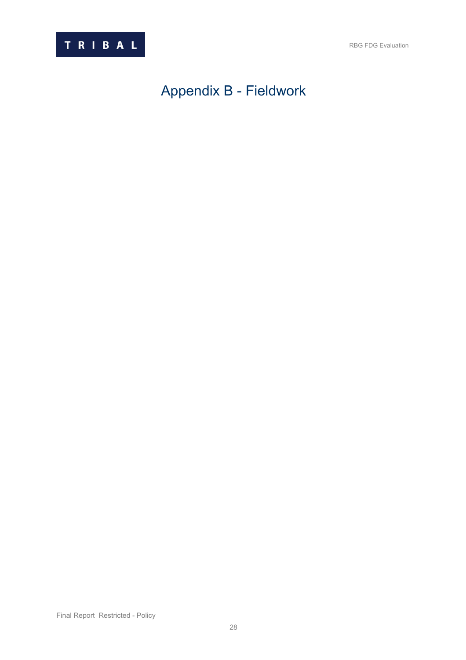<span id="page-30-0"></span>

# Appendix B - Fieldwork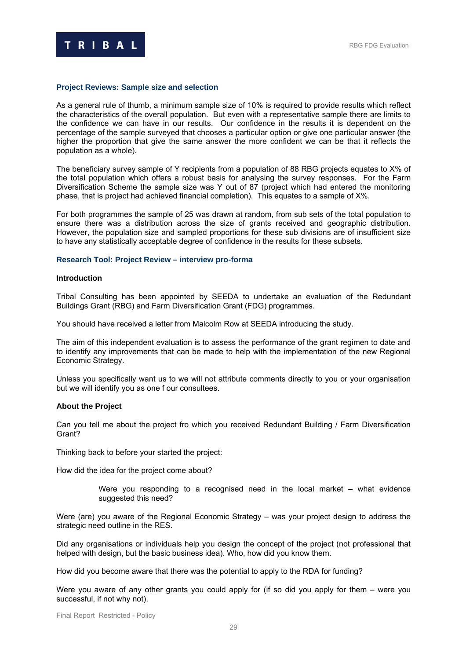

#### **Project Reviews: Sample size and selection**

As a general rule of thumb, a minimum sample size of 10% is required to provide results which reflect the characteristics of the overall population. But even with a representative sample there are limits to the confidence we can have in our results. Our confidence in the results it is dependent on the percentage of the sample surveyed that chooses a particular option or give one particular answer (the higher the proportion that give the same answer the more confident we can be that it reflects the population as a whole).

The beneficiary survey sample of Y recipients from a population of 88 RBG projects equates to X% of the total population which offers a robust basis for analysing the survey responses. For the Farm Diversification Scheme the sample size was Y out of 87 (project which had entered the monitoring phase, that is project had achieved financial completion). This equates to a sample of X%.

For both programmes the sample of 25 was drawn at random, from sub sets of the total population to ensure there was a distribution across the size of grants received and geographic distribution. However, the population size and sampled proportions for these sub divisions are of insufficient size to have any statistically acceptable degree of confidence in the results for these subsets.

## **Research Tool: Project Review – interview pro-forma**

### **Introduction**

Tribal Consulting has been appointed by SEEDA to undertake an evaluation of the Redundant Buildings Grant (RBG) and Farm Diversification Grant (FDG) programmes.

You should have received a letter from Malcolm Row at SEEDA introducing the study.

The aim of this independent evaluation is to assess the performance of the grant regimen to date and to identify any improvements that can be made to help with the implementation of the new Regional Economic Strategy.

Unless you specifically want us to we will not attribute comments directly to you or your organisation but we will identify you as one f our consultees.

#### **About the Project**

Can you tell me about the project fro which you received Redundant Building / Farm Diversification Grant?

Thinking back to before your started the project:

How did the idea for the project come about?

Were you responding to a recognised need in the local market – what evidence suggested this need?

Were (are) you aware of the Regional Economic Strategy – was your project design to address the strategic need outline in the RES.

Did any organisations or individuals help you design the concept of the project (not professional that helped with design, but the basic business idea). Who, how did you know them.

How did you become aware that there was the potential to apply to the RDA for funding?

Were you aware of any other grants you could apply for (if so did you apply for them – were you successful, if not why not).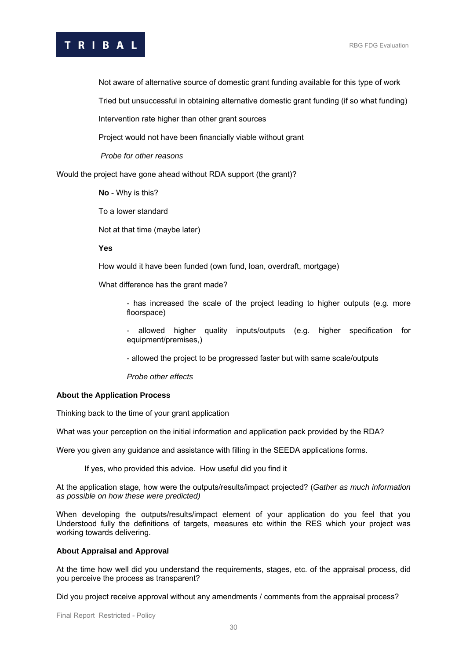# T R I B A L RBG FDG Evaluation

Not aware of alternative source of domestic grant funding available for this type of work

Tried but unsuccessful in obtaining alternative domestic grant funding (if so what funding)

Intervention rate higher than other grant sources

Project would not have been financially viable without grant

*Probe for other reasons* 

Would the project have gone ahead without RDA support (the grant)?

**No** - Why is this?

To a lower standard

Not at that time (maybe later)

#### **Yes**

How would it have been funded (own fund, loan, overdraft, mortgage)

What difference has the grant made?

- has increased the scale of the project leading to higher outputs (e.g. more floorspace)

- allowed higher quality inputs/outputs (e.g. higher specification for equipment/premises,)

- allowed the project to be progressed faster but with same scale/outputs

*Probe other effects* 

#### **About the Application Process**

Thinking back to the time of your grant application

What was your perception on the initial information and application pack provided by the RDA?

Were you given any guidance and assistance with filling in the SEEDA applications forms.

If yes, who provided this advice. How useful did you find it

At the application stage, how were the outputs/results/impact projected? (*Gather as much information as possible on how these were predicted)* 

When developing the outputs/results/impact element of your application do you feel that you Understood fully the definitions of targets, measures etc within the RES which your project was working towards delivering.

#### **About Appraisal and Approval**

At the time how well did you understand the requirements, stages, etc. of the appraisal process, did you perceive the process as transparent?

Did you project receive approval without any amendments / comments from the appraisal process?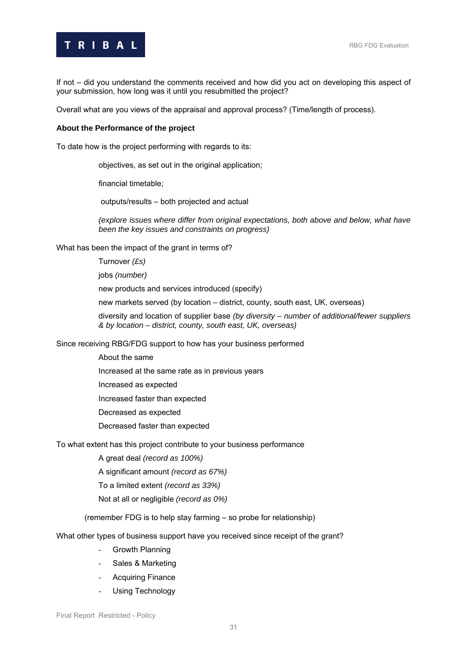

If not – did you understand the comments received and how did you act on developing this aspect of your submission, how long was it until you resubmitted the project?

Overall what are you views of the appraisal and approval process? (Time/length of process).

### **About the Performance of the project**

To date how is the project performing with regards to its:

objectives, as set out in the original application;

financial timetable;

outputs/results – both projected and actual

*(explore issues where differ from original expectations, both above and below, what have been the key issues and constraints on progress)*

What has been the impact of the grant in terms of?

Turnover *(£s)* 

jobs *(number)* 

new products and services introduced (specify)

new markets served (by location – district, county, south east, UK, overseas)

diversity and location of supplier base *(by diversity – number of additional/fewer suppliers & by location – district, county, south east, UK, overseas)*

Since receiving RBG/FDG support to how has your business performed

About the same

Increased at the same rate as in previous years

Increased as expected

Increased faster than expected

Decreased as expected

Decreased faster than expected

To what extent has this project contribute to your business performance

A great deal *(record as 100%)*

A significant amount *(record as 67%)* 

To a limited extent *(record as 33%)* 

Not at all or negligible *(record as 0%)*

(remember FDG is to help stay farming – so probe for relationship)

What other types of business support have you received since receipt of the grant?

- Growth Planning
- Sales & Marketing
- Acquiring Finance
- Using Technology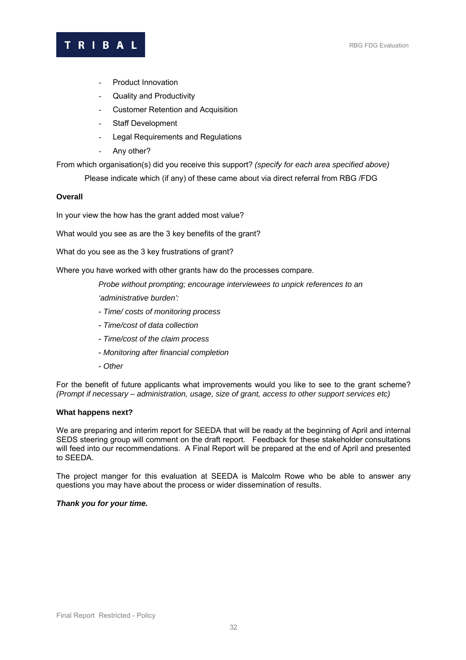# T R I B A L RBG FDG Evaluation

- Product Innovation
- Quality and Productivity
- Customer Retention and Acquisition
- Staff Development
- Legal Requirements and Regulations
- Any other?

From which organisation(s) did you receive this support? *(specify for each area specified above)* 

Please indicate which (if any) of these came about via direct referral from RBG /FDG

## **Overall**

In your view the how has the grant added most value?

What would you see as are the 3 key benefits of the grant?

What do you see as the 3 key frustrations of grant?

Where you have worked with other grants haw do the processes compare.

*Probe without prompting; encourage interviewees to unpick references to an 'administrative burden':* 

- *Time/ costs of monitoring process*
- *Time/cost of data collection*
- *Time/cost of the claim process*
- *Monitoring after financial completion*
- *Other*

For the benefit of future applicants what improvements would you like to see to the grant scheme? *(Prompt if necessary – administration, usage, size of grant, access to other support services etc)*

#### **What happens next?**

We are preparing and interim report for SEEDA that will be ready at the beginning of April and internal SEDS steering group will comment on the draft report. Feedback for these stakeholder consultations will feed into our recommendations. A Final Report will be prepared at the end of April and presented to SEEDA.

The project manger for this evaluation at SEEDA is Malcolm Rowe who be able to answer any questions you may have about the process or wider dissemination of results.

## *Thank you for your time.*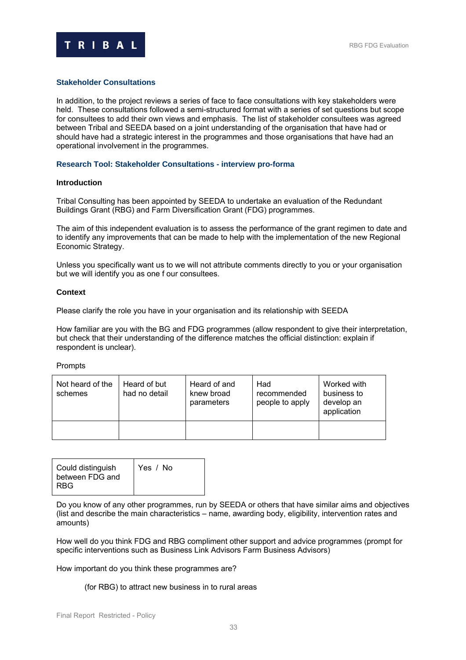

### **Stakeholder Consultations**

In addition, to the project reviews a series of face to face consultations with key stakeholders were held. These consultations followed a semi-structured format with a series of set questions but scope for consultees to add their own views and emphasis. The list of stakeholder consultees was agreed between Tribal and SEEDA based on a joint understanding of the organisation that have had or should have had a strategic interest in the programmes and those organisations that have had an operational involvement in the programmes.

#### **Research Tool: Stakeholder Consultations - interview pro-forma**

#### **Introduction**

Tribal Consulting has been appointed by SEEDA to undertake an evaluation of the Redundant Buildings Grant (RBG) and Farm Diversification Grant (FDG) programmes.

The aim of this independent evaluation is to assess the performance of the grant regimen to date and to identify any improvements that can be made to help with the implementation of the new Regional Economic Strategy.

Unless you specifically want us to we will not attribute comments directly to you or your organisation but we will identify you as one f our consultees.

#### **Context**

Please clarify the role you have in your organisation and its relationship with SEEDA

How familiar are you with the BG and FDG programmes (allow respondent to give their interpretation, but check that their understanding of the difference matches the official distinction: explain if respondent is unclear).

#### Prompts

| Not heard of the<br>schemes | Heard of but<br>had no detail | Heard of and<br>knew broad<br>parameters | Had<br>recommended<br>people to apply | Worked with<br>business to<br>develop an<br>application |
|-----------------------------|-------------------------------|------------------------------------------|---------------------------------------|---------------------------------------------------------|
|                             |                               |                                          |                                       |                                                         |

| Could distinguish<br>between FDG and<br><b>RBG</b> | Yes / No |
|----------------------------------------------------|----------|
|----------------------------------------------------|----------|

Do you know of any other programmes, run by SEEDA or others that have similar aims and objectives (list and describe the main characteristics – name, awarding body, eligibility, intervention rates and amounts)

How well do you think FDG and RBG compliment other support and advice programmes (prompt for specific interventions such as Business Link Advisors Farm Business Advisors)

How important do you think these programmes are?

(for RBG) to attract new business in to rural areas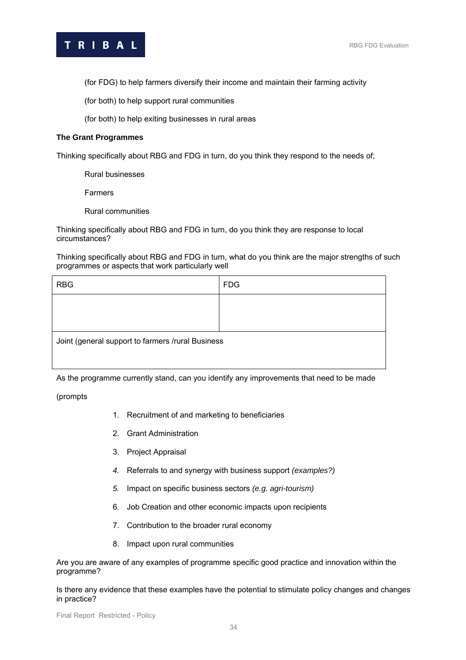T R I B A L RBG FDG Evaluation

(for FDG) to help farmers diversify their income and maintain their farming activity

(for both) to help support rural communities

(for both) to help exiting businesses in rural areas

### **The Grant Programmes**

Thinking specifically about RBG and FDG in turn, do you think they respond to the needs of;

Rural businesses

Farmers

Rural communities

Thinking specifically about RBG and FDG in turn, do you think they are response to local circumstances?

Thinking specifically about RBG and FDG in turn, what do you think are the major strengths of such programmes or aspects that work particularly well

| <b>RBG</b>                                        | <b>FDG</b> |
|---------------------------------------------------|------------|
|                                                   |            |
|                                                   |            |
| Joint (general support to farmers /rural Business |            |
|                                                   |            |

As the programme currently stand, can you identify any improvements that need to be made

(prompts

- 1. Recruitment of and marketing to beneficiaries
- 2. Grant Administration
- 3. Project Appraisal
- *4.* Referrals to and synergy with business support *(examples?)*
- *5.* Impact on specific business sectors *(e.g. agri-tourism)*
- 6. Job Creation and other economic impacts upon recipients
- 7. Contribution to the broader rural economy
- 8. Impact upon rural communities

Are you are aware of any examples of programme specific good practice and innovation within the programme?

Is there any evidence that these examples have the potential to stimulate policy changes and changes in practice?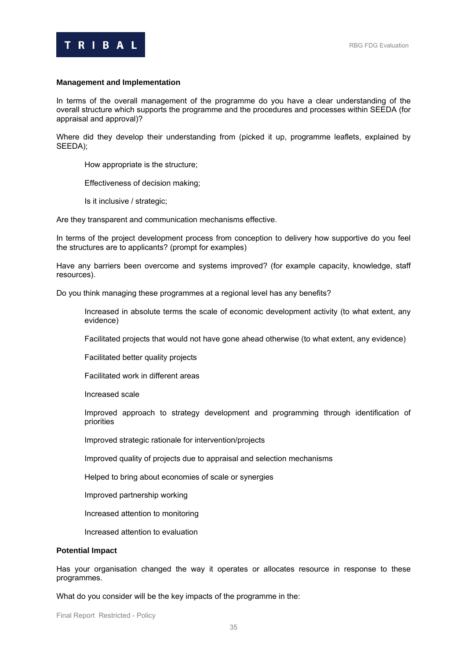

#### **Management and Implementation**

In terms of the overall management of the programme do you have a clear understanding of the overall structure which supports the programme and the procedures and processes within SEEDA (for appraisal and approval)?

Where did they develop their understanding from (picked it up, programme leaflets, explained by SEEDA);

How appropriate is the structure;

Effectiveness of decision making;

Is it inclusive / strategic;

Are they transparent and communication mechanisms effective.

In terms of the project development process from conception to delivery how supportive do you feel the structures are to applicants? (prompt for examples)

Have any barriers been overcome and systems improved? (for example capacity, knowledge, staff resources).

Do you think managing these programmes at a regional level has any benefits?

Increased in absolute terms the scale of economic development activity (to what extent, any evidence)

Facilitated projects that would not have gone ahead otherwise (to what extent, any evidence)

Facilitated better quality projects

Facilitated work in different areas

Increased scale

Improved approach to strategy development and programming through identification of priorities

Improved strategic rationale for intervention/projects

Improved quality of projects due to appraisal and selection mechanisms

Helped to bring about economies of scale or synergies

Improved partnership working

Increased attention to monitoring

Increased attention to evaluation

#### **Potential Impact**

Has your organisation changed the way it operates or allocates resource in response to these programmes.

What do you consider will be the key impacts of the programme in the: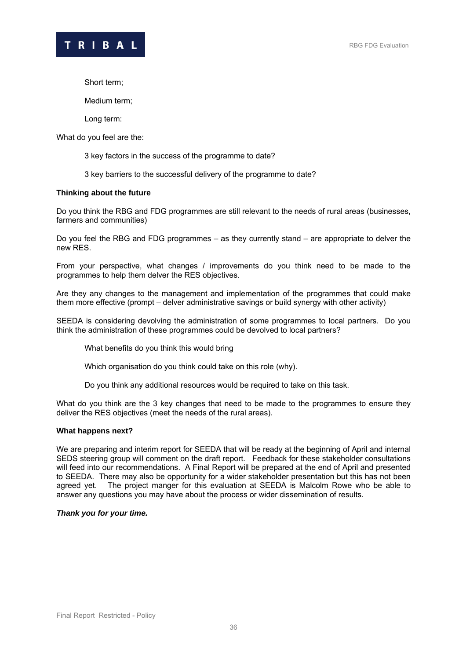

Short term;

Medium term;

Long term:

What do you feel are the:

3 key factors in the success of the programme to date?

3 key barriers to the successful delivery of the programme to date?

#### **Thinking about the future**

Do you think the RBG and FDG programmes are still relevant to the needs of rural areas (businesses, farmers and communities)

Do you feel the RBG and FDG programmes – as they currently stand – are appropriate to delver the new RES.

From your perspective, what changes / improvements do you think need to be made to the programmes to help them delver the RES objectives.

Are they any changes to the management and implementation of the programmes that could make them more effective (prompt – delver administrative savings or build synergy with other activity)

SEEDA is considering devolving the administration of some programmes to local partners. Do you think the administration of these programmes could be devolved to local partners?

What benefits do you think this would bring

Which organisation do you think could take on this role (why).

Do you think any additional resources would be required to take on this task.

What do you think are the 3 key changes that need to be made to the programmes to ensure they deliver the RES objectives (meet the needs of the rural areas).

#### **What happens next?**

We are preparing and interim report for SEEDA that will be ready at the beginning of April and internal SEDS steering group will comment on the draft report. Feedback for these stakeholder consultations will feed into our recommendations. A Final Report will be prepared at the end of April and presented to SEEDA. There may also be opportunity for a wider stakeholder presentation but this has not been agreed yet. The project manger for this evaluation at SEEDA is Malcolm Rowe who be able to answer any questions you may have about the process or wider dissemination of results.

#### *Thank you for your time.*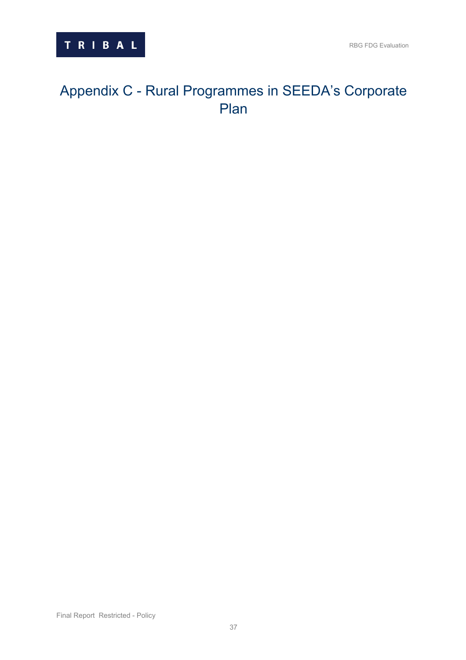# <span id="page-39-0"></span>Appendix C - Rural Programmes in SEEDA's Corporate Plan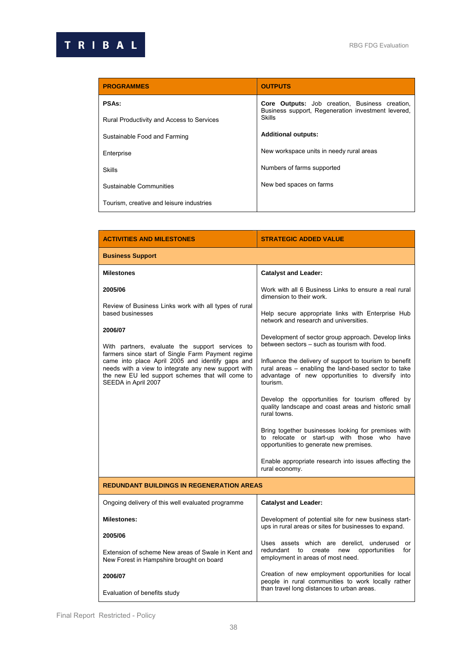| <b>PROGRAMMES</b>                         | <b>OUTPUTS</b>                                                                                              |  |
|-------------------------------------------|-------------------------------------------------------------------------------------------------------------|--|
| <b>PSAs:</b>                              | <b>Core Outputs:</b> Job creation, Business creation,<br>Business support, Regeneration investment levered, |  |
| Rural Productivity and Access to Services | Skills                                                                                                      |  |
| Sustainable Food and Farming              | <b>Additional outputs:</b>                                                                                  |  |
| Enterprise                                | New workspace units in needy rural areas                                                                    |  |
| <b>Skills</b>                             | Numbers of farms supported                                                                                  |  |
| Sustainable Communities                   | New bed spaces on farms                                                                                     |  |
| Tourism, creative and leisure industries  |                                                                                                             |  |

| <b>ACTIVITIES AND MILESTONES</b>                                                                                                                                                                                                        | <b>STRATEGIC ADDED VALUE</b>                                                                                                                                                    |  |
|-----------------------------------------------------------------------------------------------------------------------------------------------------------------------------------------------------------------------------------------|---------------------------------------------------------------------------------------------------------------------------------------------------------------------------------|--|
| <b>Business Support</b>                                                                                                                                                                                                                 |                                                                                                                                                                                 |  |
| <b>Milestones</b>                                                                                                                                                                                                                       | <b>Catalyst and Leader:</b>                                                                                                                                                     |  |
| 2005/06                                                                                                                                                                                                                                 | Work with all 6 Business Links to ensure a real rural<br>dimension to their work.                                                                                               |  |
| Review of Business Links work with all types of rural<br>based businesses                                                                                                                                                               | Help secure appropriate links with Enterprise Hub<br>network and research and universities.                                                                                     |  |
| 2006/07                                                                                                                                                                                                                                 | Development of sector group approach. Develop links                                                                                                                             |  |
| With partners, evaluate the support services to                                                                                                                                                                                         | between sectors - such as tourism with food.                                                                                                                                    |  |
| farmers since start of Single Farm Payment regime<br>came into place April 2005 and identify gaps and<br>needs with a view to integrate any new support with<br>the new EU led support schemes that will come to<br>SEEDA in April 2007 | Influence the delivery of support to tourism to benefit<br>rural areas - enabling the land-based sector to take<br>advantage of new opportunities to diversify into<br>tourism. |  |
|                                                                                                                                                                                                                                         | Develop the opportunities for tourism offered by<br>quality landscape and coast areas and historic small<br>rural towns.                                                        |  |
|                                                                                                                                                                                                                                         | Bring together businesses looking for premises with<br>to relocate or start-up with those who have<br>opportunities to generate new premises.                                   |  |
|                                                                                                                                                                                                                                         | Enable appropriate research into issues affecting the<br>rural economy.                                                                                                         |  |
| <b>REDUNDANT BUILDINGS IN REGENERATION AREAS</b>                                                                                                                                                                                        |                                                                                                                                                                                 |  |
| Ongoing delivery of this well evaluated programme                                                                                                                                                                                       | <b>Catalyst and Leader:</b>                                                                                                                                                     |  |
| <b>Milestones:</b>                                                                                                                                                                                                                      | Development of potential site for new business start-<br>ups in rural areas or sites for businesses to expand.                                                                  |  |
| 2005/06                                                                                                                                                                                                                                 |                                                                                                                                                                                 |  |
| Extension of scheme New areas of Swale in Kent and<br>New Forest in Hampshire brought on board                                                                                                                                          | Uses assets which are derelict, underused or<br>opportunities<br>redundant to create new<br>for<br>employment in areas of most need.                                            |  |
| 2006/07                                                                                                                                                                                                                                 | Creation of new employment opportunities for local<br>people in rural communities to work locally rather                                                                        |  |
| Evaluation of benefits study                                                                                                                                                                                                            | than travel long distances to urban areas.                                                                                                                                      |  |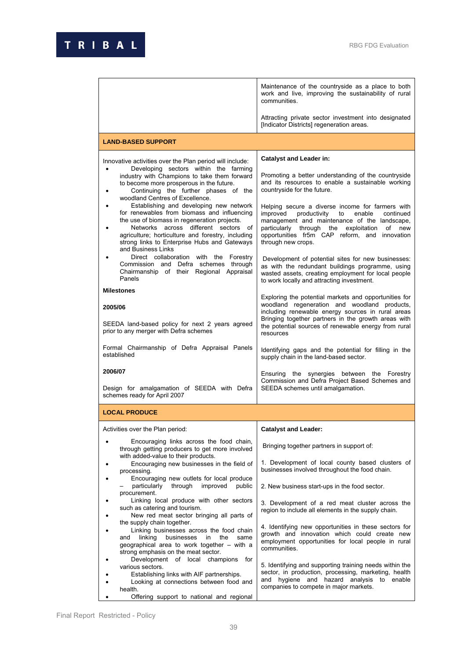|                                                                                                                                                                                                                                                                                                                                                                                                                                                                                                                                                                                                                                                                                                                                       | Maintenance of the countryside as a place to both<br>work and live, improving the sustainability of rural<br>communities.                                                                                                                                                                                                                                                                                                                                                                                                                                               |
|---------------------------------------------------------------------------------------------------------------------------------------------------------------------------------------------------------------------------------------------------------------------------------------------------------------------------------------------------------------------------------------------------------------------------------------------------------------------------------------------------------------------------------------------------------------------------------------------------------------------------------------------------------------------------------------------------------------------------------------|-------------------------------------------------------------------------------------------------------------------------------------------------------------------------------------------------------------------------------------------------------------------------------------------------------------------------------------------------------------------------------------------------------------------------------------------------------------------------------------------------------------------------------------------------------------------------|
|                                                                                                                                                                                                                                                                                                                                                                                                                                                                                                                                                                                                                                                                                                                                       | Attracting private sector investment into designated<br>[Indicator Districts] regeneration areas.                                                                                                                                                                                                                                                                                                                                                                                                                                                                       |
| <b>LAND-BASED SUPPORT</b>                                                                                                                                                                                                                                                                                                                                                                                                                                                                                                                                                                                                                                                                                                             |                                                                                                                                                                                                                                                                                                                                                                                                                                                                                                                                                                         |
| Innovative activities over the Plan period will include:<br>Developing sectors within the farming<br>$\bullet$<br>industry with Champions to take them forward<br>to become more prosperous in the future.<br>Continuing the further phases of the<br>٠<br>woodland Centres of Excellence.<br>Establishing and developing new network<br>for renewables from biomass and influencing<br>the use of biomass in regeneration projects.<br>Networks across different sectors of<br>agriculture; horticulture and forestry, including<br>strong links to Enterprise Hubs and Gateways<br>and Business Links<br>Direct collaboration with the Forestry<br>Commission and Defra schemes through<br>Chairmanship of their Regional Appraisal | <b>Catalyst and Leader in:</b><br>Promoting a better understanding of the countryside<br>and its resources to enable a sustainable working<br>countryside for the future.<br>Helping secure a diverse income for farmers with<br>improved<br>productivity to<br>enable<br>continued<br>management and maintenance of the landscape,<br>particularly through the exploitation<br>of new<br>opportunities fr5m CAP reform, and innovation<br>through new crops.<br>Development of potential sites for new businesses:<br>as with the redundant buildings programme, using |
| Panels<br><b>Milestones</b><br>2005/06                                                                                                                                                                                                                                                                                                                                                                                                                                                                                                                                                                                                                                                                                                | wasted assets, creating employment for local people<br>to work locally and attracting investment.<br>Exploring the potential markets and opportunities for<br>woodland regeneration and woodland products,                                                                                                                                                                                                                                                                                                                                                              |
| SEEDA land-based policy for next 2 years agreed<br>prior to any merger with Defra schemes                                                                                                                                                                                                                                                                                                                                                                                                                                                                                                                                                                                                                                             | including renewable energy sources in rural areas<br>Bringing together partners in the growth areas with<br>the potential sources of renewable energy from rural<br>resources                                                                                                                                                                                                                                                                                                                                                                                           |
| Formal Chairmanship of Defra Appraisal Panels<br>established                                                                                                                                                                                                                                                                                                                                                                                                                                                                                                                                                                                                                                                                          | Identifying gaps and the potential for filling in the<br>supply chain in the land-based sector.                                                                                                                                                                                                                                                                                                                                                                                                                                                                         |
| 2006/07<br>Design for amalgamation of SEEDA with Defra<br>schemes ready for April 2007                                                                                                                                                                                                                                                                                                                                                                                                                                                                                                                                                                                                                                                | Ensuring the synergies between the Forestry<br>Commission and Defra Project Based Schemes and<br>SEEDA schemes until amalgamation.                                                                                                                                                                                                                                                                                                                                                                                                                                      |
| <b>LOCAL PRODUCE</b>                                                                                                                                                                                                                                                                                                                                                                                                                                                                                                                                                                                                                                                                                                                  |                                                                                                                                                                                                                                                                                                                                                                                                                                                                                                                                                                         |
| Activities over the Plan period:                                                                                                                                                                                                                                                                                                                                                                                                                                                                                                                                                                                                                                                                                                      | <b>Catalyst and Leader:</b>                                                                                                                                                                                                                                                                                                                                                                                                                                                                                                                                             |
| Encouraging links across the food chain,<br>through getting producers to get more involved<br>with added-value to their products.                                                                                                                                                                                                                                                                                                                                                                                                                                                                                                                                                                                                     | Bringing together partners in support of:                                                                                                                                                                                                                                                                                                                                                                                                                                                                                                                               |
| Encouraging new businesses in the field of<br>processing.<br>Encouraging new outlets for local produce                                                                                                                                                                                                                                                                                                                                                                                                                                                                                                                                                                                                                                | 1. Development of local county based clusters of<br>businesses involved throughout the food chain.                                                                                                                                                                                                                                                                                                                                                                                                                                                                      |
| particularly<br>through<br>improved<br>public<br>procurement.<br>Linking local produce with other sectors                                                                                                                                                                                                                                                                                                                                                                                                                                                                                                                                                                                                                             | 2. New business start-ups in the food sector.<br>3. Development of a red meat cluster across the                                                                                                                                                                                                                                                                                                                                                                                                                                                                        |
| such as catering and tourism.<br>New red meat sector bringing all parts of<br>the supply chain together.                                                                                                                                                                                                                                                                                                                                                                                                                                                                                                                                                                                                                              | region to include all elements in the supply chain.                                                                                                                                                                                                                                                                                                                                                                                                                                                                                                                     |
| Linking businesses across the food chain<br>linking<br>businesses<br>in<br>the<br>same<br>and<br>geographical area to work together – with a<br>strong emphasis on the meat sector.<br>Development of local champions<br>for                                                                                                                                                                                                                                                                                                                                                                                                                                                                                                          | 4. Identifying new opportunities in these sectors for<br>growth and innovation which could create new<br>employment opportunities for local people in rural<br>communities.                                                                                                                                                                                                                                                                                                                                                                                             |
| various sectors.<br>Establishing links with AIF partnerships.<br>Looking at connections between food and<br>health.<br>Offering support to national and regional                                                                                                                                                                                                                                                                                                                                                                                                                                                                                                                                                                      | 5. Identifying and supporting training needs within the<br>sector, in production, processing, marketing, health<br>and hygiene and hazard analysis to enable<br>companies to compete in major markets.                                                                                                                                                                                                                                                                                                                                                                  |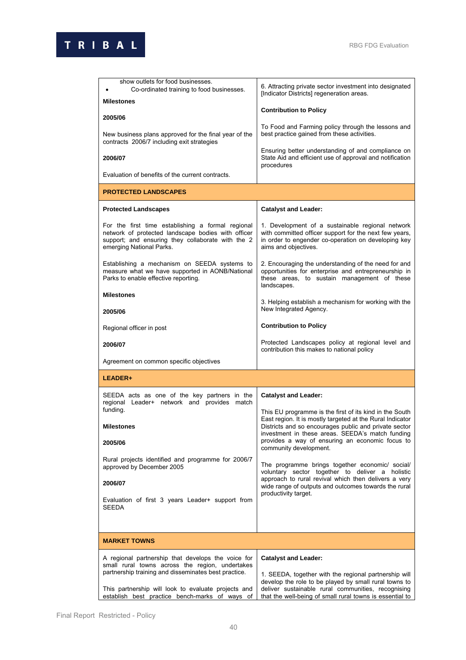| show outlets for food businesses.<br>Co-ordinated training to food businesses.<br><b>Milestones</b>                                                                                      | 6. Attracting private sector investment into designated<br>[Indicator Districts] regeneration areas.                                                                                                                             |  |
|------------------------------------------------------------------------------------------------------------------------------------------------------------------------------------------|----------------------------------------------------------------------------------------------------------------------------------------------------------------------------------------------------------------------------------|--|
|                                                                                                                                                                                          | <b>Contribution to Policy</b>                                                                                                                                                                                                    |  |
| 2005/06<br>New business plans approved for the final year of the<br>contracts 2006/7 including exit strategies                                                                           | To Food and Farming policy through the lessons and<br>best practice gained from these activities.                                                                                                                                |  |
| 2006/07                                                                                                                                                                                  | Ensuring better understanding of and compliance on<br>State Aid and efficient use of approval and notification<br>procedures                                                                                                     |  |
| Evaluation of benefits of the current contracts.                                                                                                                                         |                                                                                                                                                                                                                                  |  |
| <b>PROTECTED LANDSCAPES</b>                                                                                                                                                              |                                                                                                                                                                                                                                  |  |
| <b>Protected Landscapes</b>                                                                                                                                                              | <b>Catalyst and Leader:</b>                                                                                                                                                                                                      |  |
| For the first time establishing a formal regional<br>network of protected landscape bodies with officer<br>support; and ensuring they collaborate with the 2<br>emerging National Parks. | 1. Development of a sustainable regional network<br>with committed officer support for the next few years,<br>in order to engender co-operation on developing key<br>aims and objectives.                                        |  |
| Establishing a mechanism on SEEDA systems to<br>measure what we have supported in AONB/National<br>Parks to enable effective reporting.                                                  | 2. Encouraging the understanding of the need for and<br>opportunities for enterprise and entrepreneurship in<br>these areas, to sustain management of these<br>landscapes.                                                       |  |
| <b>Milestones</b>                                                                                                                                                                        | 3. Helping establish a mechanism for working with the                                                                                                                                                                            |  |
| 2005/06                                                                                                                                                                                  | New Integrated Agency.                                                                                                                                                                                                           |  |
| Regional officer in post                                                                                                                                                                 | <b>Contribution to Policy</b>                                                                                                                                                                                                    |  |
| 2006/07                                                                                                                                                                                  | Protected Landscapes policy at regional level and<br>contribution this makes to national policy                                                                                                                                  |  |
| Agreement on common specific objectives                                                                                                                                                  |                                                                                                                                                                                                                                  |  |
| LEADER+                                                                                                                                                                                  |                                                                                                                                                                                                                                  |  |
| SEEDA acts as one of the key partners in the<br>regional Leader+ network and provides match<br>funding.                                                                                  | <b>Catalyst and Leader:</b><br>This EU programme is the first of its kind in the South                                                                                                                                           |  |
| <b>Milestones</b>                                                                                                                                                                        | East region. It is mostly targeted at the Rural Indicator<br>Districts and so encourages public and private sector<br>investment in these areas. SEEDA's match funding                                                           |  |
| 2005/06                                                                                                                                                                                  | provides a way of ensuring an economic focus to<br>community development.                                                                                                                                                        |  |
| Rural projects identified and programme for 2006/7<br>approved by December 2005                                                                                                          | The programme brings together economic/ social/<br>voluntary sector together to deliver a holistic                                                                                                                               |  |
| 2006/07                                                                                                                                                                                  | approach to rural revival which then delivers a very<br>wide range of outputs and outcomes towards the rural                                                                                                                     |  |
| Evaluation of first 3 years Leader+ support from<br><b>SEEDA</b>                                                                                                                         | productivity target.                                                                                                                                                                                                             |  |
|                                                                                                                                                                                          |                                                                                                                                                                                                                                  |  |
| <b>MARKET TOWNS</b>                                                                                                                                                                      |                                                                                                                                                                                                                                  |  |
| A regional partnership that develops the voice for<br>small rural towns across the region, undertakes                                                                                    | <b>Catalyst and Leader:</b>                                                                                                                                                                                                      |  |
| partnership training and disseminates best practice.<br>This partnership will look to evaluate projects and<br>establish best practice bench-marks of ways of                            | 1. SEEDA, together with the regional partnership will<br>develop the role to be played by small rural towns to<br>deliver sustainable rural communities, recognising<br>that the well-being of small rural towns is essential to |  |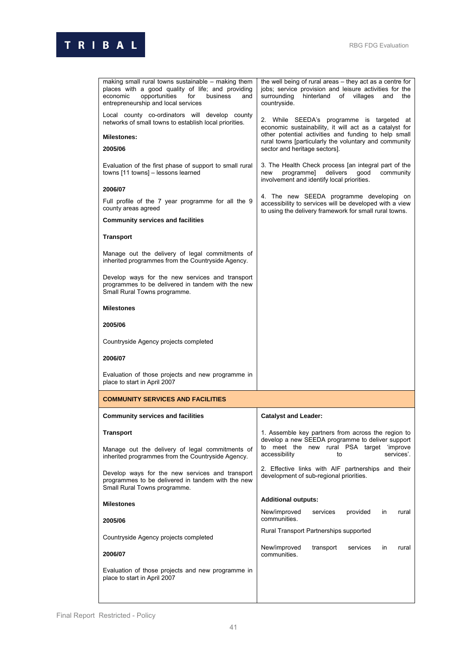

| making small rural towns sustainable - making them<br>places with a good quality of life; and providing<br>economic<br>opportunities<br>for<br>business<br>and<br>entrepreneurship and local services | the well being of rural areas – they act as a centre for<br>jobs; service provision and leisure activities for the<br>surrounding<br>hinterland<br>of villages<br>and<br>the<br>countryside. |
|-------------------------------------------------------------------------------------------------------------------------------------------------------------------------------------------------------|----------------------------------------------------------------------------------------------------------------------------------------------------------------------------------------------|
| Local county co-ordinators will develop county<br>networks of small towns to establish local priorities.                                                                                              | 2. While SEEDA's programme is targeted at                                                                                                                                                    |
| <b>Milestones:</b>                                                                                                                                                                                    | economic sustainability, it will act as a catalyst for<br>other potential activities and funding to help small                                                                               |
| 2005/06                                                                                                                                                                                               | rural towns [particularly the voluntary and community<br>sector and heritage sectors].                                                                                                       |
| Evaluation of the first phase of support to small rural<br>towns [11 towns] - lessons learned                                                                                                         | 3. The Health Check process [an integral part of the<br>delivers<br>programme]<br>good<br>community<br>new<br>involvement and identify local priorities.                                     |
| 2006/07                                                                                                                                                                                               |                                                                                                                                                                                              |
| Full profile of the 7 year programme for all the 9<br>county areas agreed                                                                                                                             | 4. The new SEEDA programme developing on<br>accessibility to services will be developed with a view<br>to using the delivery framework for small rural towns.                                |
| <b>Community services and facilities</b>                                                                                                                                                              |                                                                                                                                                                                              |
| <b>Transport</b>                                                                                                                                                                                      |                                                                                                                                                                                              |
| Manage out the delivery of legal commitments of<br>inherited programmes from the Countryside Agency.                                                                                                  |                                                                                                                                                                                              |
| Develop ways for the new services and transport<br>programmes to be delivered in tandem with the new<br>Small Rural Towns programme.                                                                  |                                                                                                                                                                                              |
| <b>Milestones</b>                                                                                                                                                                                     |                                                                                                                                                                                              |
| 2005/06                                                                                                                                                                                               |                                                                                                                                                                                              |
| Countryside Agency projects completed                                                                                                                                                                 |                                                                                                                                                                                              |
| 2006/07                                                                                                                                                                                               |                                                                                                                                                                                              |
| Evaluation of those projects and new programme in<br>place to start in April 2007                                                                                                                     |                                                                                                                                                                                              |
| <b>COMMUNITY SERVICES AND FACILITIES</b>                                                                                                                                                              |                                                                                                                                                                                              |
| <b>Community services and facilities</b>                                                                                                                                                              | <b>Catalyst and Leader:</b>                                                                                                                                                                  |
| <b>Transport</b>                                                                                                                                                                                      | 1. Assemble key partners from across the region to                                                                                                                                           |
| Manage out the delivery of legal commitments of<br>inherited programmes from the Countryside Agency.                                                                                                  | develop a new SEEDA programme to deliver support<br>to meet the new rural PSA target 'improve<br>accessibility<br>services'.<br>to                                                           |
| Develop ways for the new services and transport<br>programmes to be delivered in tandem with the new<br>Small Rural Towns programme.                                                                  | 2. Effective links with AIF partnerships and their<br>development of sub-regional priorities.                                                                                                |
| <b>Milestones</b>                                                                                                                                                                                     | <b>Additional outputs:</b>                                                                                                                                                                   |
| 2005/06                                                                                                                                                                                               | New/improved<br>services<br>provided<br>in<br>rural<br>communities.                                                                                                                          |
| Countryside Agency projects completed                                                                                                                                                                 | Rural Transport Partnerships supported                                                                                                                                                       |
| 2006/07                                                                                                                                                                                               | New/improved<br>transport<br>services<br>in<br>rural<br>communities.                                                                                                                         |
|                                                                                                                                                                                                       |                                                                                                                                                                                              |
| Evaluation of those projects and new programme in<br>place to start in April 2007                                                                                                                     |                                                                                                                                                                                              |
|                                                                                                                                                                                                       |                                                                                                                                                                                              |